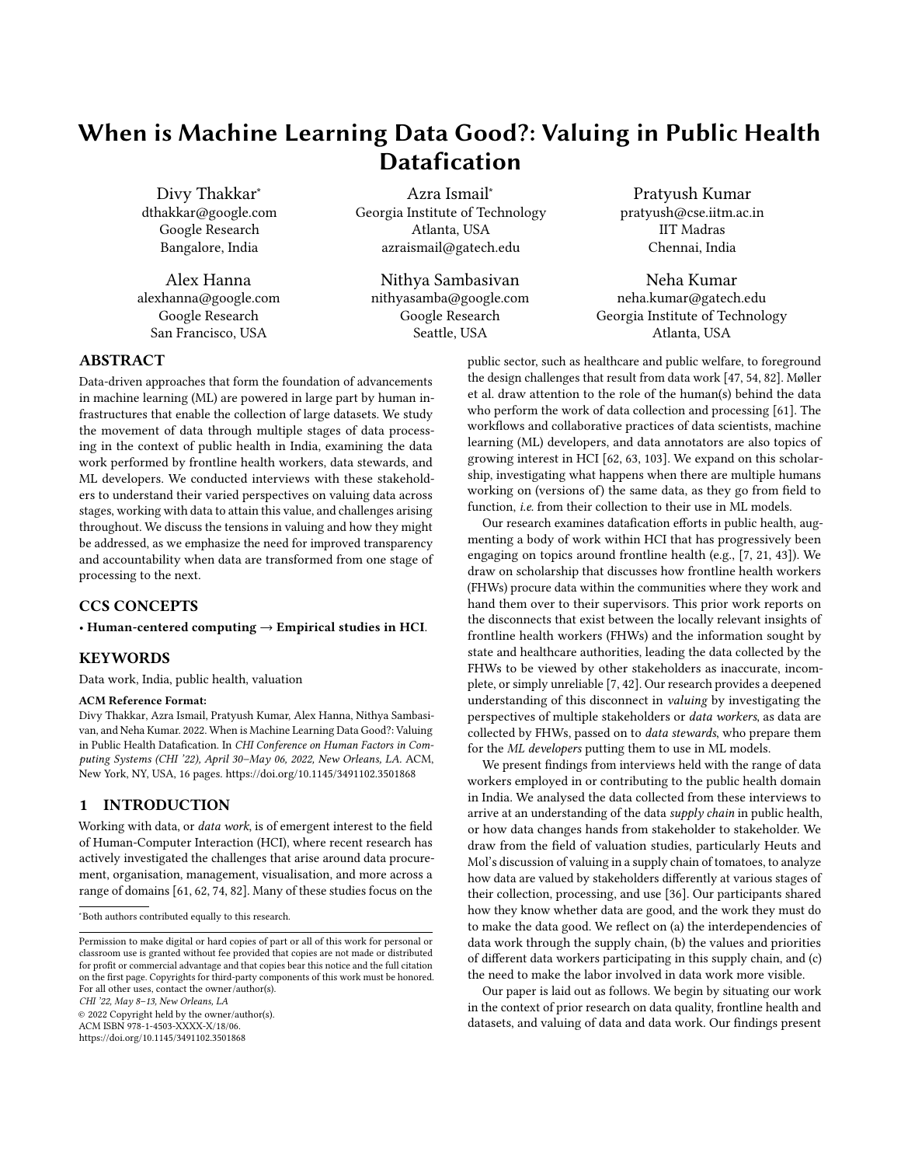# When is Machine Learning Data Good?: Valuing in Public Health Datafication

Divy Thakkar<sup>∗</sup> dthakkar@google.com Google Research Bangalore, India

Alex Hanna alexhanna@google.com Google Research San Francisco, USA

Azra Ismail<sup>∗</sup> Georgia Institute of Technology Atlanta, USA azraismail@gatech.edu

Nithya Sambasivan nithyasamba@google.com Google Research Seattle, USA

Pratyush Kumar pratyush@cse.iitm.ac.in IIT Madras Chennai, India

Neha Kumar neha.kumar@gatech.edu Georgia Institute of Technology Atlanta, USA

## ABSTRACT

Data-driven approaches that form the foundation of advancements in machine learning (ML) are powered in large part by human infrastructures that enable the collection of large datasets. We study the movement of data through multiple stages of data processing in the context of public health in India, examining the data work performed by frontline health workers, data stewards, and ML developers. We conducted interviews with these stakeholders to understand their varied perspectives on valuing data across stages, working with data to attain this value, and challenges arising throughout. We discuss the tensions in valuing and how they might be addressed, as we emphasize the need for improved transparency and accountability when data are transformed from one stage of processing to the next.

## CCS CONCEPTS

• Human-centered computing → Empirical studies in HCI.

## **KEYWORDS**

Data work, India, public health, valuation

#### ACM Reference Format:

Divy Thakkar, Azra Ismail, Pratyush Kumar, Alex Hanna, Nithya Sambasivan, and Neha Kumar. 2022. When is Machine Learning Data Good?: Valuing in Public Health Datafication. In CHI Conference on Human Factors in Computing Systems (CHI '22), April 30–May 06, 2022, New Orleans, LA. ACM, New York, NY, USA, [16](#page-15-0) pages.<https://doi.org/10.1145/3491102.3501868>

## 1 INTRODUCTION

Working with data, or *data work*, is of emergent interest to the field of Human-Computer Interaction (HCI), where recent research has actively investigated the challenges that arise around data procurement, organisation, management, visualisation, and more across a range of domains [\[61,](#page-14-0) [62,](#page-14-1) [74,](#page-15-1) [82\]](#page-15-2). Many of these studies focus on the

CHI '22, May 8–13, New Orleans, LA

© 2022 Copyright held by the owner/author(s). ACM ISBN 978-1-4503-XXXX-X/18/06. <https://doi.org/10.1145/3491102.3501868>

ship, investigating what happens when there are multiple humans working on (versions of) the same data, as they go from field to function, i.e. from their collection to their use in ML models. Our research examines datafication efforts in public health, augmenting a body of work within HCI that has progressively been engaging on topics around frontline health (e.g., [\[7,](#page-13-0) [21,](#page-14-5) [43\]](#page-14-6)). We draw on scholarship that discusses how frontline health workers (FHWs) procure data within the communities where they work and hand them over to their supervisors. This prior work reports on the disconnects that exist between the locally relevant insights of frontline health workers (FHWs) and the information sought by state and healthcare authorities, leading the data collected by the FHWs to be viewed by other stakeholders as inaccurate, incomplete, or simply unreliable [\[7,](#page-13-0) [42\]](#page-14-7). Our research provides a deepened

public sector, such as healthcare and public welfare, to foreground the design challenges that result from data work [\[47,](#page-14-2) [54,](#page-14-3) [82\]](#page-15-2). Møller et al. draw attention to the role of the human(s) behind the data who perform the work of data collection and processing [\[61\]](#page-14-0). The workflows and collaborative practices of data scientists, machine learning (ML) developers, and data annotators are also topics of growing interest in HCI [\[62,](#page-14-1) [63,](#page-14-4) [103\]](#page-15-3). We expand on this scholar-

understanding of this disconnect in valuing by investigating the perspectives of multiple stakeholders or data workers, as data are collected by FHWs, passed on to data stewards, who prepare them for the ML developers putting them to use in ML models.

We present findings from interviews held with the range of data workers employed in or contributing to the public health domain in India. We analysed the data collected from these interviews to arrive at an understanding of the data supply chain in public health, or how data changes hands from stakeholder to stakeholder. We draw from the field of valuation studies, particularly Heuts and Mol's discussion of valuing in a supply chain of tomatoes, to analyze how data are valued by stakeholders differently at various stages of their collection, processing, and use [\[36\]](#page-14-8). Our participants shared how they know whether data are good, and the work they must do to make the data good. We reflect on (a) the interdependencies of data work through the supply chain, (b) the values and priorities of different data workers participating in this supply chain, and (c) the need to make the labor involved in data work more visible.

Our paper is laid out as follows. We begin by situating our work in the context of prior research on data quality, frontline health and datasets, and valuing of data and data work. Our findings present

<sup>∗</sup>Both authors contributed equally to this research.

Permission to make digital or hard copies of part or all of this work for personal or classroom use is granted without fee provided that copies are not made or distributed for profit or commercial advantage and that copies bear this notice and the full citation on the first page. Copyrights for third-party components of this work must be honored. For all other uses, contact the owner/author(s).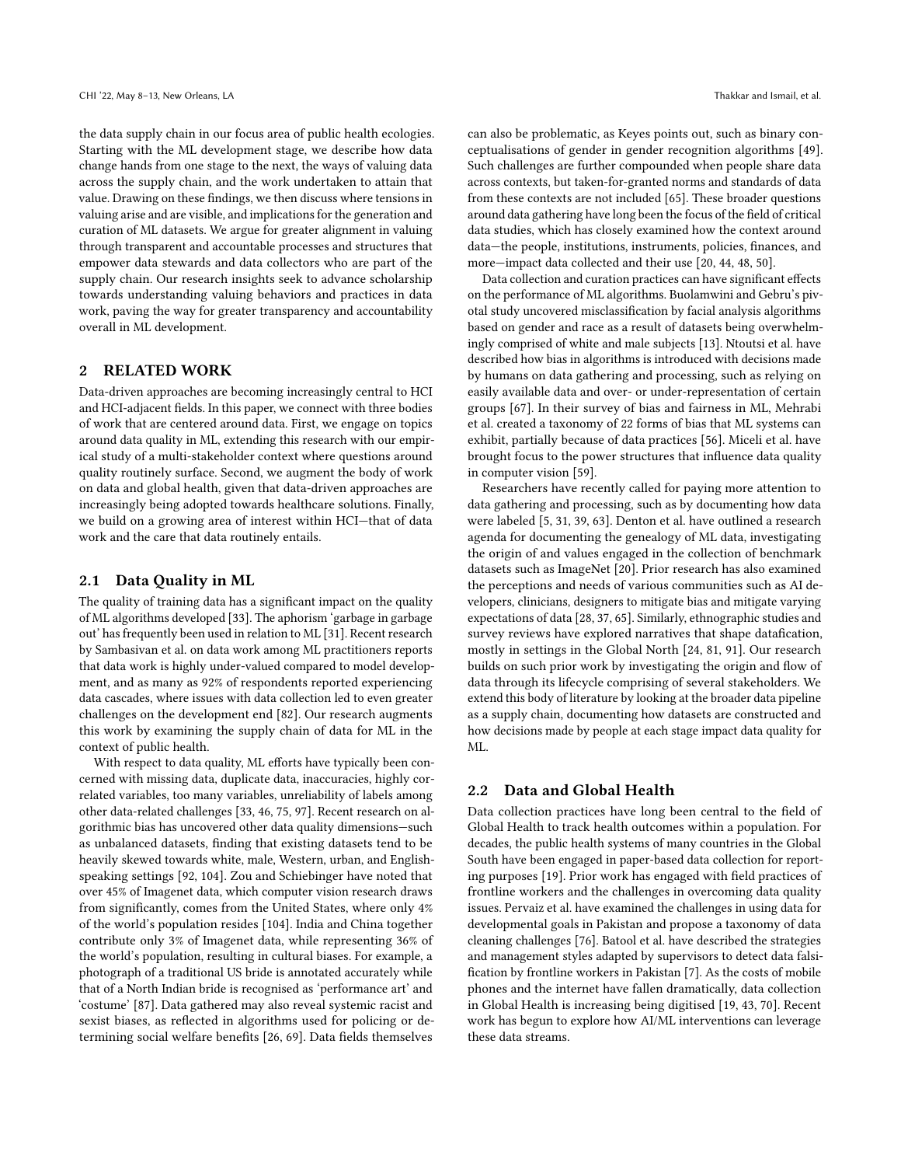the data supply chain in our focus area of public health ecologies. Starting with the ML development stage, we describe how data change hands from one stage to the next, the ways of valuing data across the supply chain, and the work undertaken to attain that value. Drawing on these findings, we then discuss where tensions in valuing arise and are visible, and implications for the generation and curation of ML datasets. We argue for greater alignment in valuing through transparent and accountable processes and structures that empower data stewards and data collectors who are part of the supply chain. Our research insights seek to advance scholarship towards understanding valuing behaviors and practices in data work, paving the way for greater transparency and accountability overall in ML development.

## 2 RELATED WORK

Data-driven approaches are becoming increasingly central to HCI and HCI-adjacent fields. In this paper, we connect with three bodies of work that are centered around data. First, we engage on topics around data quality in ML, extending this research with our empirical study of a multi-stakeholder context where questions around quality routinely surface. Second, we augment the body of work on data and global health, given that data-driven approaches are increasingly being adopted towards healthcare solutions. Finally, we build on a growing area of interest within HCI—that of data work and the care that data routinely entails.

#### 2.1 Data Quality in ML

The quality of training data has a significant impact on the quality of ML algorithms developed [\[33\]](#page-14-9). The aphorism 'garbage in garbage out' has frequently been used in relation to ML [\[31\]](#page-14-10). Recent research by Sambasivan et al. on data work among ML practitioners reports that data work is highly under-valued compared to model development, and as many as 92% of respondents reported experiencing data cascades, where issues with data collection led to even greater challenges on the development end [\[82\]](#page-15-2). Our research augments this work by examining the supply chain of data for ML in the context of public health.

With respect to data quality, ML efforts have typically been concerned with missing data, duplicate data, inaccuracies, highly correlated variables, too many variables, unreliability of labels among other data-related challenges [\[33,](#page-14-9) [46,](#page-14-11) [75,](#page-15-4) [97\]](#page-15-5). Recent research on algorithmic bias has uncovered other data quality dimensions—such as unbalanced datasets, finding that existing datasets tend to be heavily skewed towards white, male, Western, urban, and Englishspeaking settings [\[92,](#page-15-6) [104\]](#page-15-7). Zou and Schiebinger have noted that over 45% of Imagenet data, which computer vision research draws from significantly, comes from the United States, where only 4% of the world's population resides [\[104\]](#page-15-7). India and China together contribute only 3% of Imagenet data, while representing 36% of the world's population, resulting in cultural biases. For example, a photograph of a traditional US bride is annotated accurately while that of a North Indian bride is recognised as 'performance art' and 'costume' [\[87\]](#page-15-8). Data gathered may also reveal systemic racist and sexist biases, as reflected in algorithms used for policing or determining social welfare benefits [\[26,](#page-14-12) [69\]](#page-15-9). Data fields themselves

can also be problematic, as Keyes points out, such as binary conceptualisations of gender in gender recognition algorithms [\[49\]](#page-14-13). Such challenges are further compounded when people share data across contexts, but taken-for-granted norms and standards of data from these contexts are not included [\[65\]](#page-15-10). These broader questions around data gathering have long been the focus of the field of critical data studies, which has closely examined how the context around data—the people, institutions, instruments, policies, finances, and more—impact data collected and their use [\[20,](#page-14-14) [44,](#page-14-15) [48,](#page-14-16) [50\]](#page-14-17).

Data collection and curation practices can have significant effects on the performance of ML algorithms. Buolamwini and Gebru's pivotal study uncovered misclassification by facial analysis algorithms based on gender and race as a result of datasets being overwhelmingly comprised of white and male subjects [\[13\]](#page-13-1). Ntoutsi et al. have described how bias in algorithms is introduced with decisions made by humans on data gathering and processing, such as relying on easily available data and over- or under-representation of certain groups [\[67\]](#page-15-11). In their survey of bias and fairness in ML, Mehrabi et al. created a taxonomy of 22 forms of bias that ML systems can exhibit, partially because of data practices [\[56\]](#page-14-18). Miceli et al. have brought focus to the power structures that influence data quality in computer vision [\[59\]](#page-14-19).

Researchers have recently called for paying more attention to data gathering and processing, such as by documenting how data were labeled [\[5,](#page-13-2) [31,](#page-14-10) [39,](#page-14-20) [63\]](#page-14-4). Denton et al. have outlined a research agenda for documenting the genealogy of ML data, investigating the origin of and values engaged in the collection of benchmark datasets such as ImageNet [\[20\]](#page-14-14). Prior research has also examined the perceptions and needs of various communities such as AI developers, clinicians, designers to mitigate bias and mitigate varying expectations of data [\[28,](#page-14-21) [37,](#page-14-22) [65\]](#page-15-10). Similarly, ethnographic studies and survey reviews have explored narratives that shape datafication, mostly in settings in the Global North [\[24,](#page-14-23) [81,](#page-15-12) [91\]](#page-15-13). Our research builds on such prior work by investigating the origin and flow of data through its lifecycle comprising of several stakeholders. We extend this body of literature by looking at the broader data pipeline as a supply chain, documenting how datasets are constructed and how decisions made by people at each stage impact data quality for ML.

#### 2.2 Data and Global Health

Data collection practices have long been central to the field of Global Health to track health outcomes within a population. For decades, the public health systems of many countries in the Global South have been engaged in paper-based data collection for reporting purposes [\[19\]](#page-14-24). Prior work has engaged with field practices of frontline workers and the challenges in overcoming data quality issues. Pervaiz et al. have examined the challenges in using data for developmental goals in Pakistan and propose a taxonomy of data cleaning challenges [\[76\]](#page-15-14). Batool et al. have described the strategies and management styles adapted by supervisors to detect data falsification by frontline workers in Pakistan [\[7\]](#page-13-0). As the costs of mobile phones and the internet have fallen dramatically, data collection in Global Health is increasing being digitised [\[19,](#page-14-24) [43,](#page-14-6) [70\]](#page-15-15). Recent work has begun to explore how AI/ML interventions can leverage these data streams.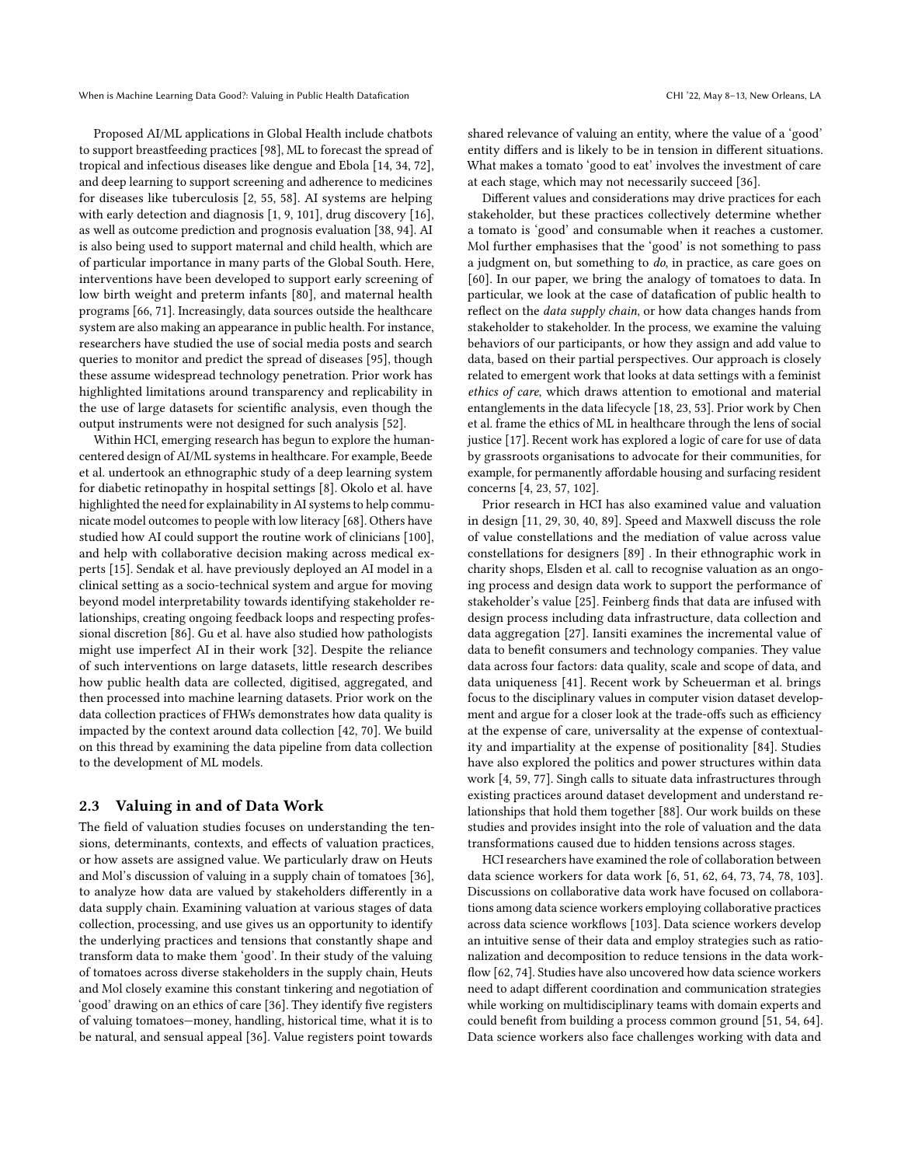Proposed AI/ML applications in Global Health include chatbots to support breastfeeding practices [\[98\]](#page-15-16), ML to forecast the spread of tropical and infectious diseases like dengue and Ebola [\[14,](#page-13-3) [34,](#page-14-25) [72\]](#page-15-17), and deep learning to support screening and adherence to medicines for diseases like tuberculosis [\[2,](#page-13-4) [55,](#page-14-26) [58\]](#page-14-27). AI systems are helping with early detection and diagnosis [\[1,](#page-13-5) [9,](#page-13-6) [101\]](#page-15-18), drug discovery [\[16\]](#page-14-28), as well as outcome prediction and prognosis evaluation [\[38,](#page-14-29) [94\]](#page-15-19). AI is also being used to support maternal and child health, which are of particular importance in many parts of the Global South. Here, interventions have been developed to support early screening of low birth weight and preterm infants [\[80\]](#page-15-20), and maternal health programs [\[66,](#page-15-21) [71\]](#page-15-22). Increasingly, data sources outside the healthcare system are also making an appearance in public health. For instance, researchers have studied the use of social media posts and search queries to monitor and predict the spread of diseases [\[95\]](#page-15-23), though these assume widespread technology penetration. Prior work has highlighted limitations around transparency and replicability in the use of large datasets for scientific analysis, even though the output instruments were not designed for such analysis [\[52\]](#page-14-30).

Within HCI, emerging research has begun to explore the humancentered design of AI/ML systems in healthcare. For example, Beede et al. undertook an ethnographic study of a deep learning system for diabetic retinopathy in hospital settings [\[8\]](#page-13-7). Okolo et al. have highlighted the need for explainability in AI systems to help communicate model outcomes to people with low literacy [\[68\]](#page-15-24). Others have studied how AI could support the routine work of clinicians [\[100\]](#page-15-25), and help with collaborative decision making across medical experts [\[15\]](#page-14-31). Sendak et al. have previously deployed an AI model in a clinical setting as a socio-technical system and argue for moving beyond model interpretability towards identifying stakeholder relationships, creating ongoing feedback loops and respecting professional discretion [\[86\]](#page-15-26). Gu et al. have also studied how pathologists might use imperfect AI in their work [\[32\]](#page-14-32). Despite the reliance of such interventions on large datasets, little research describes how public health data are collected, digitised, aggregated, and then processed into machine learning datasets. Prior work on the data collection practices of FHWs demonstrates how data quality is impacted by the context around data collection [\[42,](#page-14-7) [70\]](#page-15-15). We build on this thread by examining the data pipeline from data collection to the development of ML models.

#### 2.3 Valuing in and of Data Work

The field of valuation studies focuses on understanding the tensions, determinants, contexts, and effects of valuation practices, or how assets are assigned value. We particularly draw on Heuts and Mol's discussion of valuing in a supply chain of tomatoes [\[36\]](#page-14-8), to analyze how data are valued by stakeholders differently in a data supply chain. Examining valuation at various stages of data collection, processing, and use gives us an opportunity to identify the underlying practices and tensions that constantly shape and transform data to make them 'good'. In their study of the valuing of tomatoes across diverse stakeholders in the supply chain, Heuts and Mol closely examine this constant tinkering and negotiation of 'good' drawing on an ethics of care [\[36\]](#page-14-8). They identify five registers of valuing tomatoes—money, handling, historical time, what it is to be natural, and sensual appeal [\[36\]](#page-14-8). Value registers point towards

shared relevance of valuing an entity, where the value of a 'good' entity differs and is likely to be in tension in different situations. What makes a tomato 'good to eat' involves the investment of care at each stage, which may not necessarily succeed [\[36\]](#page-14-8).

Different values and considerations may drive practices for each stakeholder, but these practices collectively determine whether a tomato is 'good' and consumable when it reaches a customer. Mol further emphasises that the 'good' is not something to pass a judgment on, but something to do, in practice, as care goes on [\[60\]](#page-14-33). In our paper, we bring the analogy of tomatoes to data. In particular, we look at the case of datafication of public health to reflect on the data supply chain, or how data changes hands from stakeholder to stakeholder. In the process, we examine the valuing behaviors of our participants, or how they assign and add value to data, based on their partial perspectives. Our approach is closely related to emergent work that looks at data settings with a feminist ethics of care, which draws attention to emotional and material entanglements in the data lifecycle [\[18,](#page-14-34) [23,](#page-14-35) [53\]](#page-14-36). Prior work by Chen et al. frame the ethics of ML in healthcare through the lens of social justice [\[17\]](#page-14-37). Recent work has explored a logic of care for use of data by grassroots organisations to advocate for their communities, for example, for permanently affordable housing and surfacing resident concerns [\[4,](#page-13-8) [23,](#page-14-35) [57,](#page-14-38) [102\]](#page-15-27).

Prior research in HCI has also examined value and valuation in design [\[11,](#page-13-9) [29,](#page-14-39) [30,](#page-14-40) [40,](#page-14-41) [89\]](#page-15-28). Speed and Maxwell discuss the role of value constellations and the mediation of value across value constellations for designers [\[89\]](#page-15-28) . In their ethnographic work in charity shops, Elsden et al. call to recognise valuation as an ongoing process and design data work to support the performance of stakeholder's value [\[25\]](#page-14-42). Feinberg finds that data are infused with design process including data infrastructure, data collection and data aggregation [\[27\]](#page-14-43). Iansiti examines the incremental value of data to benefit consumers and technology companies. They value data across four factors: data quality, scale and scope of data, and data uniqueness [\[41\]](#page-14-44). Recent work by Scheuerman et al. brings focus to the disciplinary values in computer vision dataset development and argue for a closer look at the trade-offs such as efficiency at the expense of care, universality at the expense of contextuality and impartiality at the expense of positionality [\[84\]](#page-15-29). Studies have also explored the politics and power structures within data work [\[4,](#page-13-8) [59,](#page-14-19) [77\]](#page-15-30). Singh calls to situate data infrastructures through existing practices around dataset development and understand relationships that hold them together [\[88\]](#page-15-31). Our work builds on these studies and provides insight into the role of valuation and the data transformations caused due to hidden tensions across stages.

HCI researchers have examined the role of collaboration between data science workers for data work [\[6,](#page-13-10) [51,](#page-14-45) [62,](#page-14-1) [64,](#page-15-32) [73,](#page-15-33) [74,](#page-15-1) [78,](#page-15-34) [103\]](#page-15-3). Discussions on collaborative data work have focused on collaborations among data science workers employing collaborative practices across data science workflows [\[103\]](#page-15-3). Data science workers develop an intuitive sense of their data and employ strategies such as rationalization and decomposition to reduce tensions in the data workflow [\[62,](#page-14-1) [74\]](#page-15-1). Studies have also uncovered how data science workers need to adapt different coordination and communication strategies while working on multidisciplinary teams with domain experts and could benefit from building a process common ground [\[51,](#page-14-45) [54,](#page-14-3) [64\]](#page-15-32). Data science workers also face challenges working with data and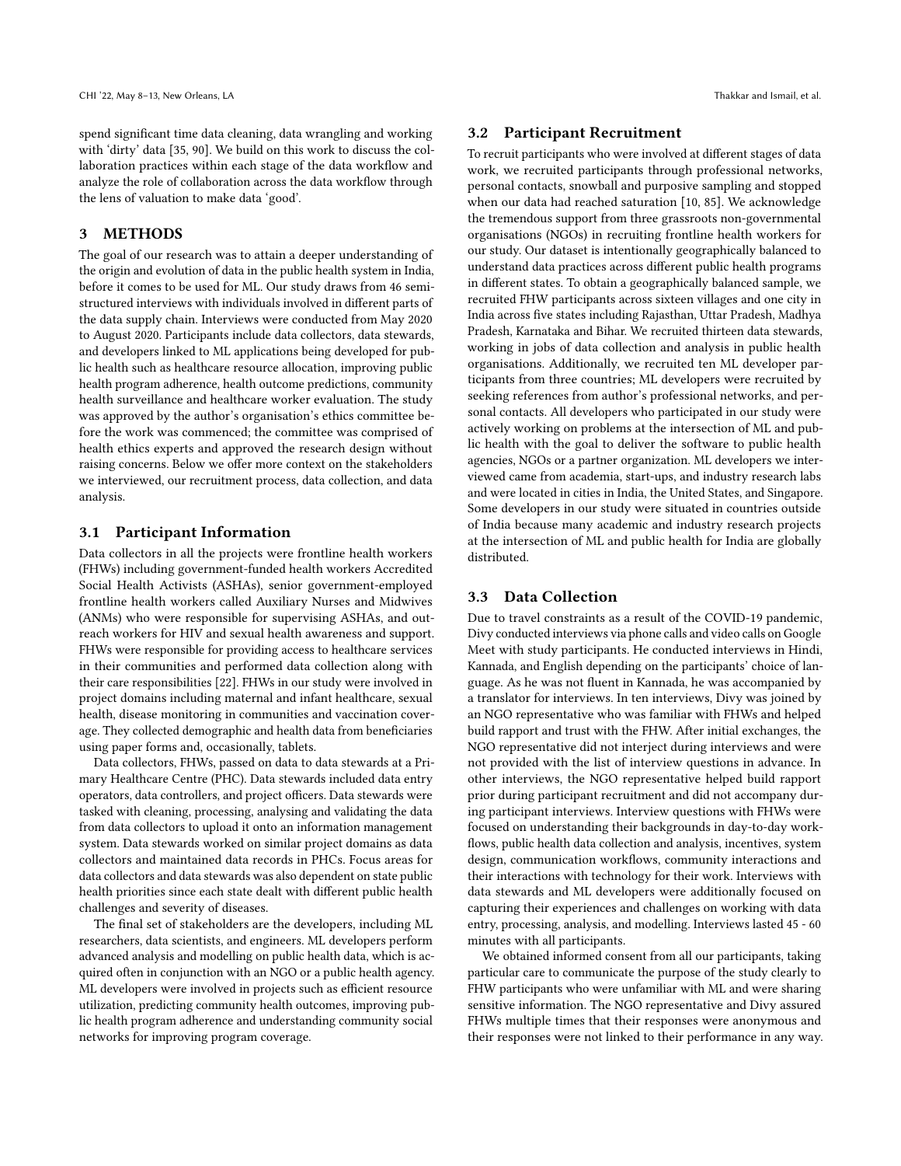spend significant time data cleaning, data wrangling and working with 'dirty' data [\[35,](#page-14-46) [90\]](#page-15-35). We build on this work to discuss the collaboration practices within each stage of the data workflow and analyze the role of collaboration across the data workflow through the lens of valuation to make data 'good'.

## 3 METHODS

The goal of our research was to attain a deeper understanding of the origin and evolution of data in the public health system in India, before it comes to be used for ML. Our study draws from 46 semistructured interviews with individuals involved in different parts of the data supply chain. Interviews were conducted from May 2020 to August 2020. Participants include data collectors, data stewards, and developers linked to ML applications being developed for public health such as healthcare resource allocation, improving public health program adherence, health outcome predictions, community health surveillance and healthcare worker evaluation. The study was approved by the author's organisation's ethics committee before the work was commenced; the committee was comprised of health ethics experts and approved the research design without raising concerns. Below we offer more context on the stakeholders we interviewed, our recruitment process, data collection, and data analysis.

## 3.1 Participant Information

Data collectors in all the projects were frontline health workers (FHWs) including government-funded health workers Accredited Social Health Activists (ASHAs), senior government-employed frontline health workers called Auxiliary Nurses and Midwives (ANMs) who were responsible for supervising ASHAs, and outreach workers for HIV and sexual health awareness and support. FHWs were responsible for providing access to healthcare services in their communities and performed data collection along with their care responsibilities [\[22\]](#page-14-47). FHWs in our study were involved in project domains including maternal and infant healthcare, sexual health, disease monitoring in communities and vaccination coverage. They collected demographic and health data from beneficiaries using paper forms and, occasionally, tablets.

Data collectors, FHWs, passed on data to data stewards at a Primary Healthcare Centre (PHC). Data stewards included data entry operators, data controllers, and project officers. Data stewards were tasked with cleaning, processing, analysing and validating the data from data collectors to upload it onto an information management system. Data stewards worked on similar project domains as data collectors and maintained data records in PHCs. Focus areas for data collectors and data stewards was also dependent on state public health priorities since each state dealt with different public health challenges and severity of diseases.

The final set of stakeholders are the developers, including ML researchers, data scientists, and engineers. ML developers perform advanced analysis and modelling on public health data, which is acquired often in conjunction with an NGO or a public health agency. ML developers were involved in projects such as efficient resource utilization, predicting community health outcomes, improving public health program adherence and understanding community social networks for improving program coverage.

#### 3.2 Participant Recruitment

To recruit participants who were involved at different stages of data work, we recruited participants through professional networks, personal contacts, snowball and purposive sampling and stopped when our data had reached saturation [\[10,](#page-13-11) [85\]](#page-15-36). We acknowledge the tremendous support from three grassroots non-governmental organisations (NGOs) in recruiting frontline health workers for our study. Our dataset is intentionally geographically balanced to understand data practices across different public health programs in different states. To obtain a geographically balanced sample, we recruited FHW participants across sixteen villages and one city in India across five states including Rajasthan, Uttar Pradesh, Madhya Pradesh, Karnataka and Bihar. We recruited thirteen data stewards, working in jobs of data collection and analysis in public health organisations. Additionally, we recruited ten ML developer participants from three countries; ML developers were recruited by seeking references from author's professional networks, and personal contacts. All developers who participated in our study were actively working on problems at the intersection of ML and public health with the goal to deliver the software to public health agencies, NGOs or a partner organization. ML developers we interviewed came from academia, start-ups, and industry research labs and were located in cities in India, the United States, and Singapore. Some developers in our study were situated in countries outside of India because many academic and industry research projects at the intersection of ML and public health for India are globally distributed.

#### 3.3 Data Collection

Due to travel constraints as a result of the COVID-19 pandemic, Divy conducted interviews via phone calls and video calls on Google Meet with study participants. He conducted interviews in Hindi, Kannada, and English depending on the participants' choice of language. As he was not fluent in Kannada, he was accompanied by a translator for interviews. In ten interviews, Divy was joined by an NGO representative who was familiar with FHWs and helped build rapport and trust with the FHW. After initial exchanges, the NGO representative did not interject during interviews and were not provided with the list of interview questions in advance. In other interviews, the NGO representative helped build rapport prior during participant recruitment and did not accompany during participant interviews. Interview questions with FHWs were focused on understanding their backgrounds in day-to-day workflows, public health data collection and analysis, incentives, system design, communication workflows, community interactions and their interactions with technology for their work. Interviews with data stewards and ML developers were additionally focused on capturing their experiences and challenges on working with data entry, processing, analysis, and modelling. Interviews lasted 45 - 60 minutes with all participants.

We obtained informed consent from all our participants, taking particular care to communicate the purpose of the study clearly to FHW participants who were unfamiliar with ML and were sharing sensitive information. The NGO representative and Divy assured FHWs multiple times that their responses were anonymous and their responses were not linked to their performance in any way.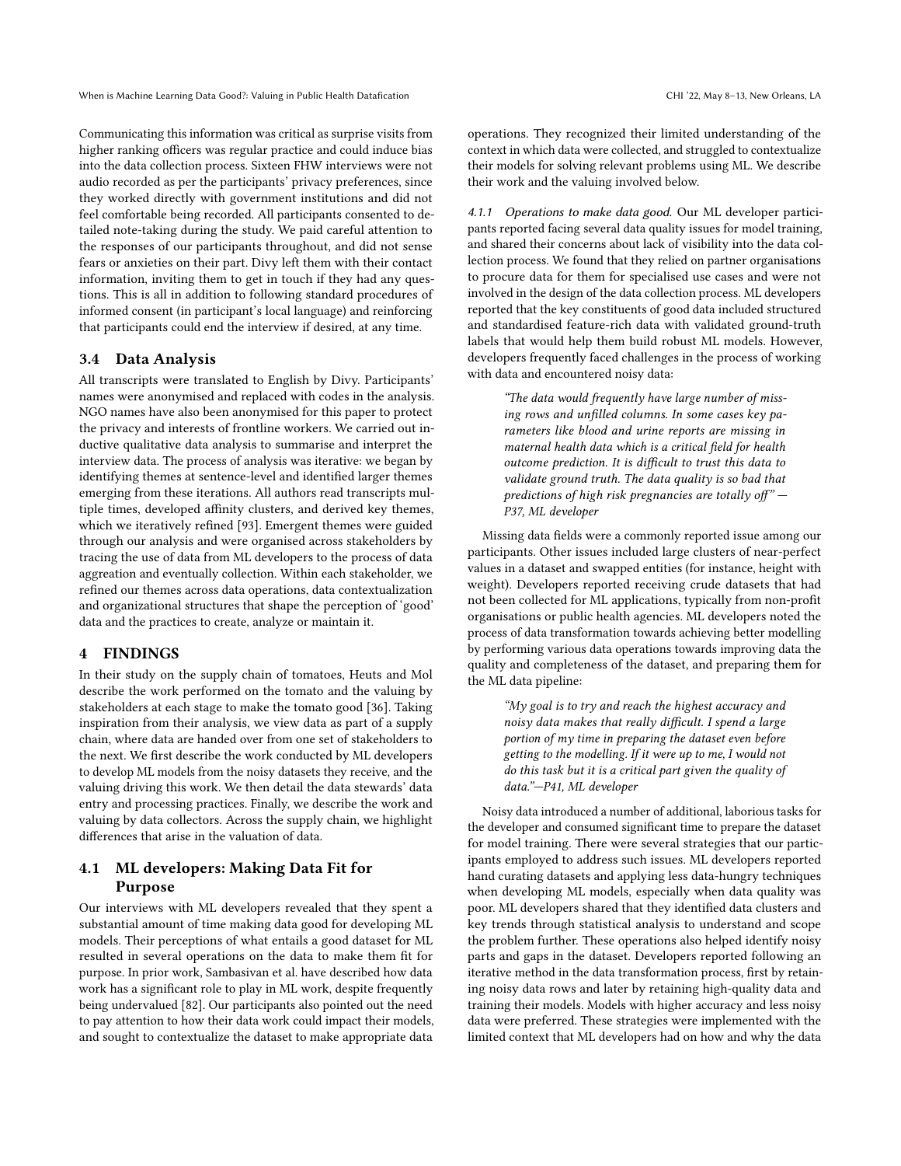Communicating this information was critical as surprise visits from higher ranking officers was regular practice and could induce bias into the data collection process. Sixteen FHW interviews were not audio recorded as per the participants' privacy preferences, since they worked directly with government institutions and did not feel comfortable being recorded. All participants consented to detailed note-taking during the study. We paid careful attention to the responses of our participants throughout, and did not sense fears or anxieties on their part. Divy left them with their contact information, inviting them to get in touch if they had any questions. This is all in addition to following standard procedures of informed consent (in participant's local language) and reinforcing that participants could end the interview if desired, at any time.

#### 3.4 Data Analysis

All transcripts were translated to English by Divy. Participants' names were anonymised and replaced with codes in the analysis. NGO names have also been anonymised for this paper to protect the privacy and interests of frontline workers. We carried out inductive qualitative data analysis to summarise and interpret the interview data. The process of analysis was iterative: we began by identifying themes at sentence-level and identified larger themes emerging from these iterations. All authors read transcripts multiple times, developed affinity clusters, and derived key themes, which we iteratively refined [\[93\]](#page-15-37). Emergent themes were guided through our analysis and were organised across stakeholders by tracing the use of data from ML developers to the process of data aggreation and eventually collection. Within each stakeholder, we refined our themes across data operations, data contextualization and organizational structures that shape the perception of 'good' data and the practices to create, analyze or maintain it.

## 4 FINDINGS

In their study on the supply chain of tomatoes, Heuts and Mol describe the work performed on the tomato and the valuing by stakeholders at each stage to make the tomato good [\[36\]](#page-14-8). Taking inspiration from their analysis, we view data as part of a supply chain, where data are handed over from one set of stakeholders to the next. We first describe the work conducted by ML developers to develop ML models from the noisy datasets they receive, and the valuing driving this work. We then detail the data stewards' data entry and processing practices. Finally, we describe the work and valuing by data collectors. Across the supply chain, we highlight differences that arise in the valuation of data.

## 4.1 ML developers: Making Data Fit for Purpose

Our interviews with ML developers revealed that they spent a substantial amount of time making data good for developing ML models. Their perceptions of what entails a good dataset for ML resulted in several operations on the data to make them fit for purpose. In prior work, Sambasivan et al. have described how data work has a significant role to play in ML work, despite frequently being undervalued [\[82\]](#page-15-2). Our participants also pointed out the need to pay attention to how their data work could impact their models, and sought to contextualize the dataset to make appropriate data

operations. They recognized their limited understanding of the context in which data were collected, and struggled to contextualize their models for solving relevant problems using ML. We describe their work and the valuing involved below.

4.1.1 Operations to make data good. Our ML developer participants reported facing several data quality issues for model training, and shared their concerns about lack of visibility into the data collection process. We found that they relied on partner organisations to procure data for them for specialised use cases and were not involved in the design of the data collection process. ML developers reported that the key constituents of good data included structured and standardised feature-rich data with validated ground-truth labels that would help them build robust ML models. However, developers frequently faced challenges in the process of working with data and encountered noisy data:

> "The data would frequently have large number of missing rows and unfilled columns. In some cases key parameters like blood and urine reports are missing in maternal health data which is a critical field for health outcome prediction. It is difficult to trust this data to validate ground truth. The data quality is so bad that predictions of high risk pregnancies are totally off"  $-$ P37, ML developer

Missing data fields were a commonly reported issue among our participants. Other issues included large clusters of near-perfect values in a dataset and swapped entities (for instance, height with weight). Developers reported receiving crude datasets that had not been collected for ML applications, typically from non-profit organisations or public health agencies. ML developers noted the process of data transformation towards achieving better modelling by performing various data operations towards improving data the quality and completeness of the dataset, and preparing them for the ML data pipeline:

> "My goal is to try and reach the highest accuracy and noisy data makes that really difficult. I spend a large portion of my time in preparing the dataset even before getting to the modelling. If it were up to me, I would not do this task but it is a critical part given the quality of data."—P41, ML developer

Noisy data introduced a number of additional, laborious tasks for the developer and consumed significant time to prepare the dataset for model training. There were several strategies that our participants employed to address such issues. ML developers reported hand curating datasets and applying less data-hungry techniques when developing ML models, especially when data quality was poor. ML developers shared that they identified data clusters and key trends through statistical analysis to understand and scope the problem further. These operations also helped identify noisy parts and gaps in the dataset. Developers reported following an iterative method in the data transformation process, first by retaining noisy data rows and later by retaining high-quality data and training their models. Models with higher accuracy and less noisy data were preferred. These strategies were implemented with the limited context that ML developers had on how and why the data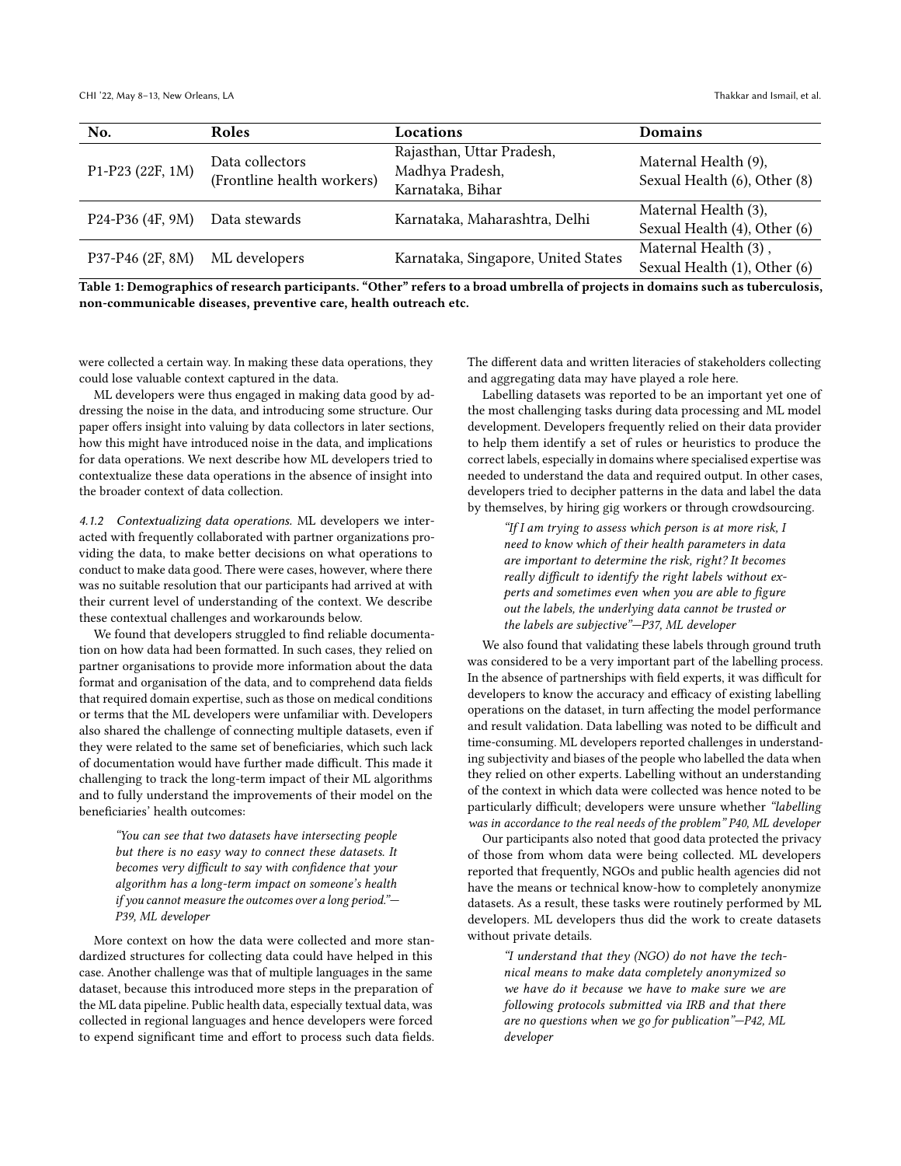CHI '22, May 8–13, New Orleans, LA Thakkar and Ismail, et al.  $\blacksquare$ 

| No.              | Roles                                         | <b>Locations</b>                                                 | <b>Domains</b>                                       |
|------------------|-----------------------------------------------|------------------------------------------------------------------|------------------------------------------------------|
| P1-P23 (22F, 1M) | Data collectors<br>(Frontline health workers) | Rajasthan, Uttar Pradesh,<br>Madhya Pradesh,<br>Karnataka, Bihar | Maternal Health (9),<br>Sexual Health (6), Other (8) |
| P24-P36 (4F, 9M) | Data stewards                                 | Karnataka, Maharashtra, Delhi                                    | Maternal Health (3),<br>Sexual Health (4), Other (6) |
| P37-P46 (2F, 8M) | ML developers                                 | Karnataka, Singapore, United States                              | Maternal Health (3),<br>Sexual Health (1), Other (6) |

Table 1: Demographics of research participants. "Other" refers to a broad umbrella of projects in domains such as tuberculosis, non-communicable diseases, preventive care, health outreach etc.

were collected a certain way. In making these data operations, they could lose valuable context captured in the data.

ML developers were thus engaged in making data good by addressing the noise in the data, and introducing some structure. Our paper offers insight into valuing by data collectors in later sections, how this might have introduced noise in the data, and implications for data operations. We next describe how ML developers tried to contextualize these data operations in the absence of insight into the broader context of data collection.

4.1.2 Contextualizing data operations. ML developers we interacted with frequently collaborated with partner organizations providing the data, to make better decisions on what operations to conduct to make data good. There were cases, however, where there was no suitable resolution that our participants had arrived at with their current level of understanding of the context. We describe these contextual challenges and workarounds below.

We found that developers struggled to find reliable documentation on how data had been formatted. In such cases, they relied on partner organisations to provide more information about the data format and organisation of the data, and to comprehend data fields that required domain expertise, such as those on medical conditions or terms that the ML developers were unfamiliar with. Developers also shared the challenge of connecting multiple datasets, even if they were related to the same set of beneficiaries, which such lack of documentation would have further made difficult. This made it challenging to track the long-term impact of their ML algorithms and to fully understand the improvements of their model on the beneficiaries' health outcomes:

"You can see that two datasets have intersecting people but there is no easy way to connect these datasets. It becomes very difficult to say with confidence that your algorithm has a long-term impact on someone's health if you cannot measure the outcomes over a long period."— P39, ML developer

More context on how the data were collected and more standardized structures for collecting data could have helped in this case. Another challenge was that of multiple languages in the same dataset, because this introduced more steps in the preparation of the ML data pipeline. Public health data, especially textual data, was collected in regional languages and hence developers were forced to expend significant time and effort to process such data fields. The different data and written literacies of stakeholders collecting and aggregating data may have played a role here.

Labelling datasets was reported to be an important yet one of the most challenging tasks during data processing and ML model development. Developers frequently relied on their data provider to help them identify a set of rules or heuristics to produce the correct labels, especially in domains where specialised expertise was needed to understand the data and required output. In other cases, developers tried to decipher patterns in the data and label the data by themselves, by hiring gig workers or through crowdsourcing.

> "If I am trying to assess which person is at more risk, I need to know which of their health parameters in data are important to determine the risk, right? It becomes really difficult to identify the right labels without experts and sometimes even when you are able to figure out the labels, the underlying data cannot be trusted or the labels are subjective"—P37, ML developer

We also found that validating these labels through ground truth was considered to be a very important part of the labelling process. In the absence of partnerships with field experts, it was difficult for developers to know the accuracy and efficacy of existing labelling operations on the dataset, in turn affecting the model performance and result validation. Data labelling was noted to be difficult and time-consuming. ML developers reported challenges in understanding subjectivity and biases of the people who labelled the data when they relied on other experts. Labelling without an understanding of the context in which data were collected was hence noted to be particularly difficult; developers were unsure whether "labelling was in accordance to the real needs of the problem" P40, ML developer

Our participants also noted that good data protected the privacy of those from whom data were being collected. ML developers reported that frequently, NGOs and public health agencies did not have the means or technical know-how to completely anonymize datasets. As a result, these tasks were routinely performed by ML developers. ML developers thus did the work to create datasets without private details.

> "I understand that they (NGO) do not have the technical means to make data completely anonymized so we have do it because we have to make sure we are following protocols submitted via IRB and that there are no questions when we go for publication"—P42, ML developer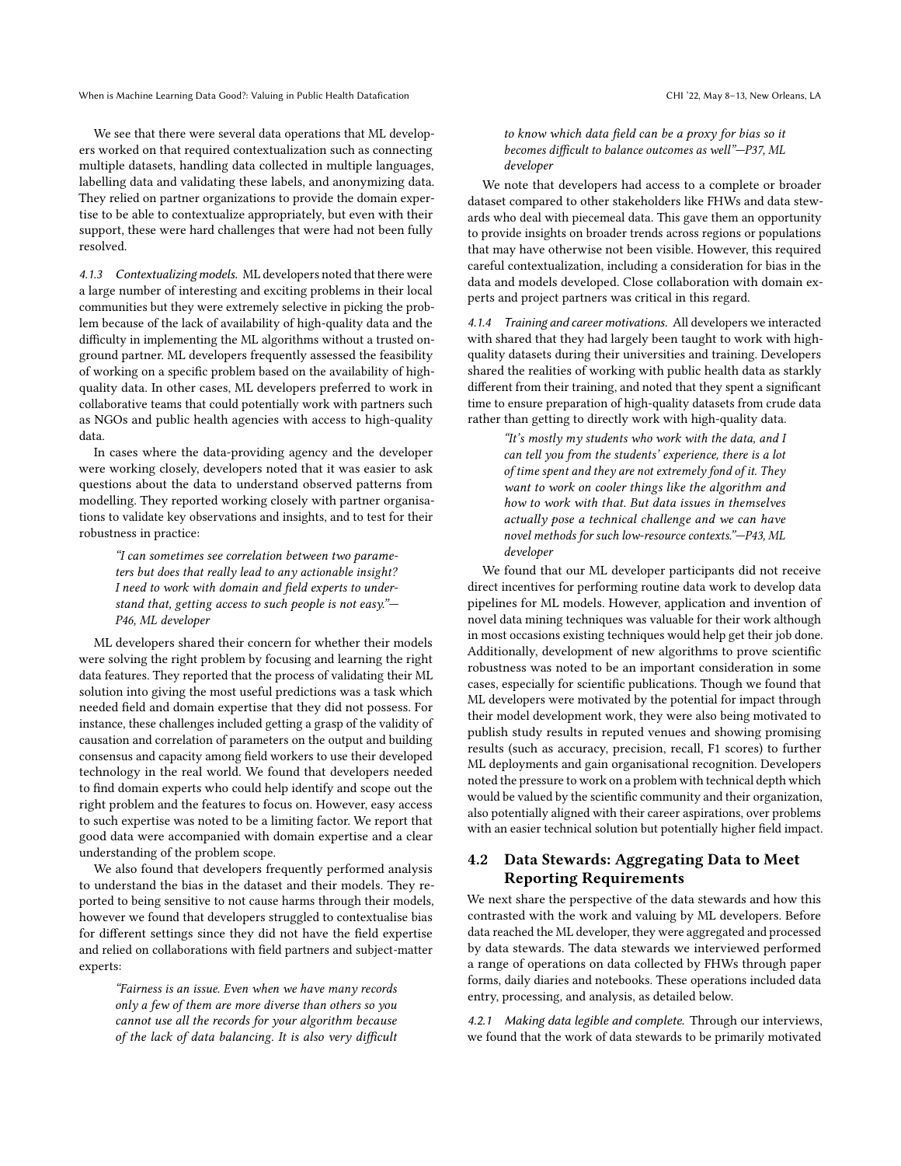We see that there were several data operations that ML developers worked on that required contextualization such as connecting multiple datasets, handling data collected in multiple languages, labelling data and validating these labels, and anonymizing data. They relied on partner organizations to provide the domain expertise to be able to contextualize appropriately, but even with their support, these were hard challenges that were had not been fully resolved.

4.1.3 Contextualizing models. ML developers noted that there were a large number of interesting and exciting problems in their local communities but they were extremely selective in picking the problem because of the lack of availability of high-quality data and the difficulty in implementing the ML algorithms without a trusted onground partner. ML developers frequently assessed the feasibility of working on a specific problem based on the availability of highquality data. In other cases, ML developers preferred to work in collaborative teams that could potentially work with partners such as NGOs and public health agencies with access to high-quality data.

In cases where the data-providing agency and the developer were working closely, developers noted that it was easier to ask questions about the data to understand observed patterns from modelling. They reported working closely with partner organisations to validate key observations and insights, and to test for their robustness in practice:

"I can sometimes see correlation between two parameters but does that really lead to any actionable insight? I need to work with domain and field experts to understand that, getting access to such people is not easy."— P46, ML developer

ML developers shared their concern for whether their models were solving the right problem by focusing and learning the right data features. They reported that the process of validating their ML solution into giving the most useful predictions was a task which needed field and domain expertise that they did not possess. For instance, these challenges included getting a grasp of the validity of causation and correlation of parameters on the output and building consensus and capacity among field workers to use their developed technology in the real world. We found that developers needed to find domain experts who could help identify and scope out the right problem and the features to focus on. However, easy access to such expertise was noted to be a limiting factor. We report that good data were accompanied with domain expertise and a clear understanding of the problem scope.

We also found that developers frequently performed analysis to understand the bias in the dataset and their models. They reported to being sensitive to not cause harms through their models, however we found that developers struggled to contextualise bias for different settings since they did not have the field expertise and relied on collaborations with field partners and subject-matter experts:

"Fairness is an issue. Even when we have many records only a few of them are more diverse than others so you cannot use all the records for your algorithm because of the lack of data balancing. It is also very difficult

#### to know which data field can be a proxy for bias so it becomes difficult to balance outcomes as well"—P37, ML developer

We note that developers had access to a complete or broader dataset compared to other stakeholders like FHWs and data stewards who deal with piecemeal data. This gave them an opportunity to provide insights on broader trends across regions or populations that may have otherwise not been visible. However, this required careful contextualization, including a consideration for bias in the data and models developed. Close collaboration with domain experts and project partners was critical in this regard.

4.1.4 Training and career motivations. All developers we interacted with shared that they had largely been taught to work with highquality datasets during their universities and training. Developers shared the realities of working with public health data as starkly different from their training, and noted that they spent a significant time to ensure preparation of high-quality datasets from crude data rather than getting to directly work with high-quality data.

> "It's mostly my students who work with the data, and I can tell you from the students' experience, there is a lot of time spent and they are not extremely fond of it. They want to work on cooler things like the algorithm and how to work with that. But data issues in themselves actually pose a technical challenge and we can have novel methods for such low-resource contexts."—P43, ML developer

We found that our ML developer participants did not receive direct incentives for performing routine data work to develop data pipelines for ML models. However, application and invention of novel data mining techniques was valuable for their work although in most occasions existing techniques would help get their job done. Additionally, development of new algorithms to prove scientific robustness was noted to be an important consideration in some cases, especially for scientific publications. Though we found that ML developers were motivated by the potential for impact through their model development work, they were also being motivated to publish study results in reputed venues and showing promising results (such as accuracy, precision, recall, F1 scores) to further ML deployments and gain organisational recognition. Developers noted the pressure to work on a problem with technical depth which would be valued by the scientific community and their organization, also potentially aligned with their career aspirations, over problems with an easier technical solution but potentially higher field impact.

## 4.2 Data Stewards: Aggregating Data to Meet Reporting Requirements

We next share the perspective of the data stewards and how this contrasted with the work and valuing by ML developers. Before data reached the ML developer, they were aggregated and processed by data stewards. The data stewards we interviewed performed a range of operations on data collected by FHWs through paper forms, daily diaries and notebooks. These operations included data entry, processing, and analysis, as detailed below.

4.2.1 Making data legible and complete. Through our interviews, we found that the work of data stewards to be primarily motivated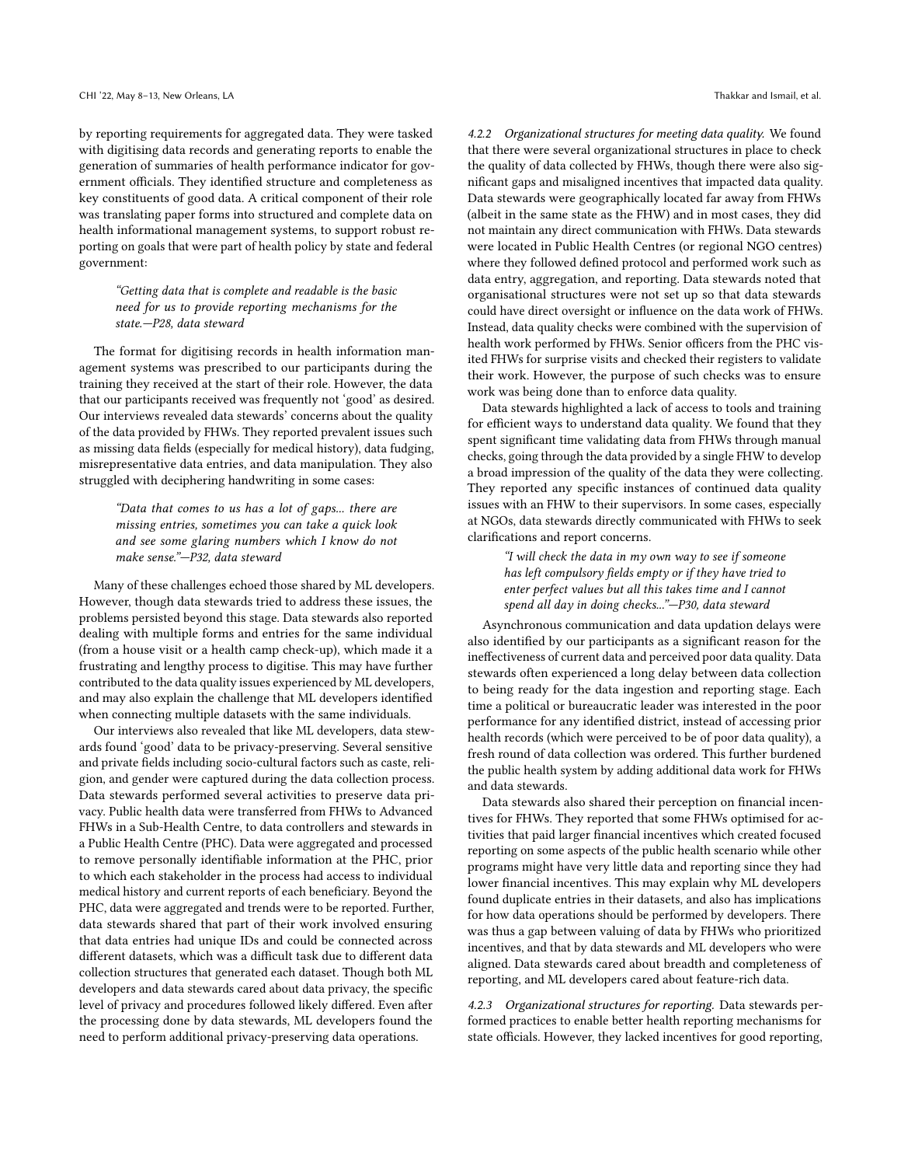by reporting requirements for aggregated data. They were tasked with digitising data records and generating reports to enable the generation of summaries of health performance indicator for government officials. They identified structure and completeness as key constituents of good data. A critical component of their role was translating paper forms into structured and complete data on health informational management systems, to support robust reporting on goals that were part of health policy by state and federal government:

#### "Getting data that is complete and readable is the basic need for us to provide reporting mechanisms for the state.—P28, data steward

The format for digitising records in health information management systems was prescribed to our participants during the training they received at the start of their role. However, the data that our participants received was frequently not 'good' as desired. Our interviews revealed data stewards' concerns about the quality of the data provided by FHWs. They reported prevalent issues such as missing data fields (especially for medical history), data fudging, misrepresentative data entries, and data manipulation. They also struggled with deciphering handwriting in some cases:

"Data that comes to us has a lot of gaps... there are missing entries, sometimes you can take a quick look and see some glaring numbers which I know do not make sense."—P32, data steward

Many of these challenges echoed those shared by ML developers. However, though data stewards tried to address these issues, the problems persisted beyond this stage. Data stewards also reported dealing with multiple forms and entries for the same individual (from a house visit or a health camp check-up), which made it a frustrating and lengthy process to digitise. This may have further contributed to the data quality issues experienced by ML developers, and may also explain the challenge that ML developers identified when connecting multiple datasets with the same individuals.

Our interviews also revealed that like ML developers, data stewards found 'good' data to be privacy-preserving. Several sensitive and private fields including socio-cultural factors such as caste, religion, and gender were captured during the data collection process. Data stewards performed several activities to preserve data privacy. Public health data were transferred from FHWs to Advanced FHWs in a Sub-Health Centre, to data controllers and stewards in a Public Health Centre (PHC). Data were aggregated and processed to remove personally identifiable information at the PHC, prior to which each stakeholder in the process had access to individual medical history and current reports of each beneficiary. Beyond the PHC, data were aggregated and trends were to be reported. Further, data stewards shared that part of their work involved ensuring that data entries had unique IDs and could be connected across different datasets, which was a difficult task due to different data collection structures that generated each dataset. Though both ML developers and data stewards cared about data privacy, the specific level of privacy and procedures followed likely differed. Even after the processing done by data stewards, ML developers found the need to perform additional privacy-preserving data operations.

4.2.2 Organizational structures for meeting data quality. We found that there were several organizational structures in place to check the quality of data collected by FHWs, though there were also significant gaps and misaligned incentives that impacted data quality. Data stewards were geographically located far away from FHWs (albeit in the same state as the FHW) and in most cases, they did not maintain any direct communication with FHWs. Data stewards were located in Public Health Centres (or regional NGO centres) where they followed defined protocol and performed work such as data entry, aggregation, and reporting. Data stewards noted that organisational structures were not set up so that data stewards could have direct oversight or influence on the data work of FHWs. Instead, data quality checks were combined with the supervision of health work performed by FHWs. Senior officers from the PHC visited FHWs for surprise visits and checked their registers to validate their work. However, the purpose of such checks was to ensure work was being done than to enforce data quality.

Data stewards highlighted a lack of access to tools and training for efficient ways to understand data quality. We found that they spent significant time validating data from FHWs through manual checks, going through the data provided by a single FHW to develop a broad impression of the quality of the data they were collecting. They reported any specific instances of continued data quality issues with an FHW to their supervisors. In some cases, especially at NGOs, data stewards directly communicated with FHWs to seek clarifications and report concerns.

> "I will check the data in my own way to see if someone has left compulsory fields empty or if they have tried to enter perfect values but all this takes time and I cannot spend all day in doing checks..."—P30, data steward

Asynchronous communication and data updation delays were also identified by our participants as a significant reason for the ineffectiveness of current data and perceived poor data quality. Data stewards often experienced a long delay between data collection to being ready for the data ingestion and reporting stage. Each time a political or bureaucratic leader was interested in the poor performance for any identified district, instead of accessing prior health records (which were perceived to be of poor data quality), a fresh round of data collection was ordered. This further burdened the public health system by adding additional data work for FHWs and data stewards.

Data stewards also shared their perception on financial incentives for FHWs. They reported that some FHWs optimised for activities that paid larger financial incentives which created focused reporting on some aspects of the public health scenario while other programs might have very little data and reporting since they had lower financial incentives. This may explain why ML developers found duplicate entries in their datasets, and also has implications for how data operations should be performed by developers. There was thus a gap between valuing of data by FHWs who prioritized incentives, and that by data stewards and ML developers who were aligned. Data stewards cared about breadth and completeness of reporting, and ML developers cared about feature-rich data.

4.2.3 Organizational structures for reporting. Data stewards performed practices to enable better health reporting mechanisms for state officials. However, they lacked incentives for good reporting,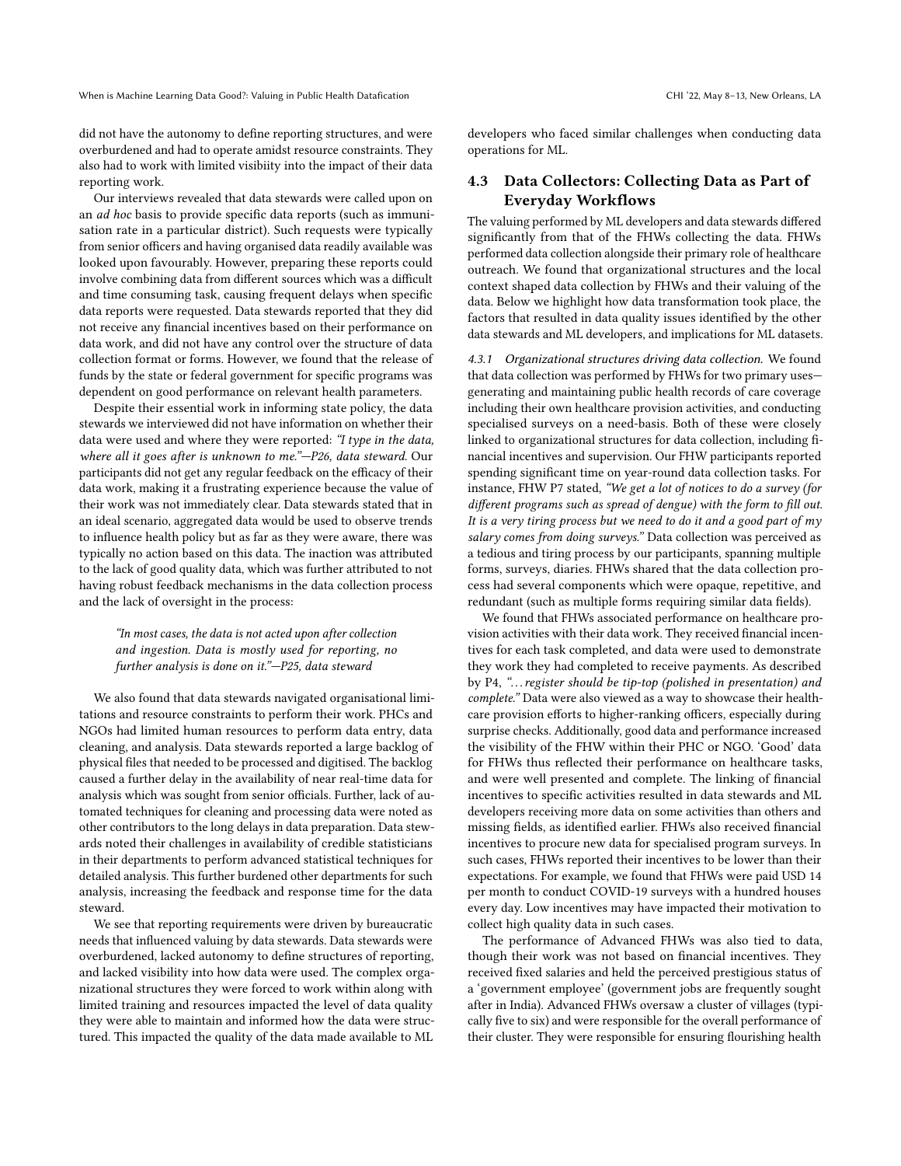did not have the autonomy to define reporting structures, and were overburdened and had to operate amidst resource constraints. They also had to work with limited visibiity into the impact of their data reporting work.

Our interviews revealed that data stewards were called upon on an ad hoc basis to provide specific data reports (such as immunisation rate in a particular district). Such requests were typically from senior officers and having organised data readily available was looked upon favourably. However, preparing these reports could involve combining data from different sources which was a difficult and time consuming task, causing frequent delays when specific data reports were requested. Data stewards reported that they did not receive any financial incentives based on their performance on data work, and did not have any control over the structure of data collection format or forms. However, we found that the release of funds by the state or federal government for specific programs was dependent on good performance on relevant health parameters.

Despite their essential work in informing state policy, the data stewards we interviewed did not have information on whether their data were used and where they were reported: "I type in the data, where all it goes after is unknown to me."—P26, data steward. Our participants did not get any regular feedback on the efficacy of their data work, making it a frustrating experience because the value of their work was not immediately clear. Data stewards stated that in an ideal scenario, aggregated data would be used to observe trends to influence health policy but as far as they were aware, there was typically no action based on this data. The inaction was attributed to the lack of good quality data, which was further attributed to not having robust feedback mechanisms in the data collection process and the lack of oversight in the process:

## "In most cases, the data is not acted upon after collection and ingestion. Data is mostly used for reporting, no further analysis is done on it."—P25, data steward

We also found that data stewards navigated organisational limitations and resource constraints to perform their work. PHCs and NGOs had limited human resources to perform data entry, data cleaning, and analysis. Data stewards reported a large backlog of physical files that needed to be processed and digitised. The backlog caused a further delay in the availability of near real-time data for analysis which was sought from senior officials. Further, lack of automated techniques for cleaning and processing data were noted as other contributors to the long delays in data preparation. Data stewards noted their challenges in availability of credible statisticians in their departments to perform advanced statistical techniques for detailed analysis. This further burdened other departments for such analysis, increasing the feedback and response time for the data steward.

We see that reporting requirements were driven by bureaucratic needs that influenced valuing by data stewards. Data stewards were overburdened, lacked autonomy to define structures of reporting, and lacked visibility into how data were used. The complex organizational structures they were forced to work within along with limited training and resources impacted the level of data quality they were able to maintain and informed how the data were structured. This impacted the quality of the data made available to ML

developers who faced similar challenges when conducting data operations for ML.

## 4.3 Data Collectors: Collecting Data as Part of Everyday Workflows

The valuing performed by ML developers and data stewards differed significantly from that of the FHWs collecting the data. FHWs performed data collection alongside their primary role of healthcare outreach. We found that organizational structures and the local context shaped data collection by FHWs and their valuing of the data. Below we highlight how data transformation took place, the factors that resulted in data quality issues identified by the other data stewards and ML developers, and implications for ML datasets.

4.3.1 Organizational structures driving data collection. We found that data collection was performed by FHWs for two primary uses generating and maintaining public health records of care coverage including their own healthcare provision activities, and conducting specialised surveys on a need-basis. Both of these were closely linked to organizational structures for data collection, including financial incentives and supervision. Our FHW participants reported spending significant time on year-round data collection tasks. For instance, FHW P7 stated, "We get a lot of notices to do a survey (for different programs such as spread of dengue) with the form to fill out. It is a very tiring process but we need to do it and a good part of my salary comes from doing surveys." Data collection was perceived as a tedious and tiring process by our participants, spanning multiple forms, surveys, diaries. FHWs shared that the data collection process had several components which were opaque, repetitive, and redundant (such as multiple forms requiring similar data fields).

We found that FHWs associated performance on healthcare provision activities with their data work. They received financial incentives for each task completed, and data were used to demonstrate they work they had completed to receive payments. As described by P4, ". . . register should be tip-top (polished in presentation) and complete." Data were also viewed as a way to showcase their healthcare provision efforts to higher-ranking officers, especially during surprise checks. Additionally, good data and performance increased the visibility of the FHW within their PHC or NGO. 'Good' data for FHWs thus reflected their performance on healthcare tasks, and were well presented and complete. The linking of financial incentives to specific activities resulted in data stewards and ML developers receiving more data on some activities than others and missing fields, as identified earlier. FHWs also received financial incentives to procure new data for specialised program surveys. In such cases, FHWs reported their incentives to be lower than their expectations. For example, we found that FHWs were paid USD 14 per month to conduct COVID-19 surveys with a hundred houses every day. Low incentives may have impacted their motivation to collect high quality data in such cases.

The performance of Advanced FHWs was also tied to data, though their work was not based on financial incentives. They received fixed salaries and held the perceived prestigious status of a 'government employee' (government jobs are frequently sought after in India). Advanced FHWs oversaw a cluster of villages (typically five to six) and were responsible for the overall performance of their cluster. They were responsible for ensuring flourishing health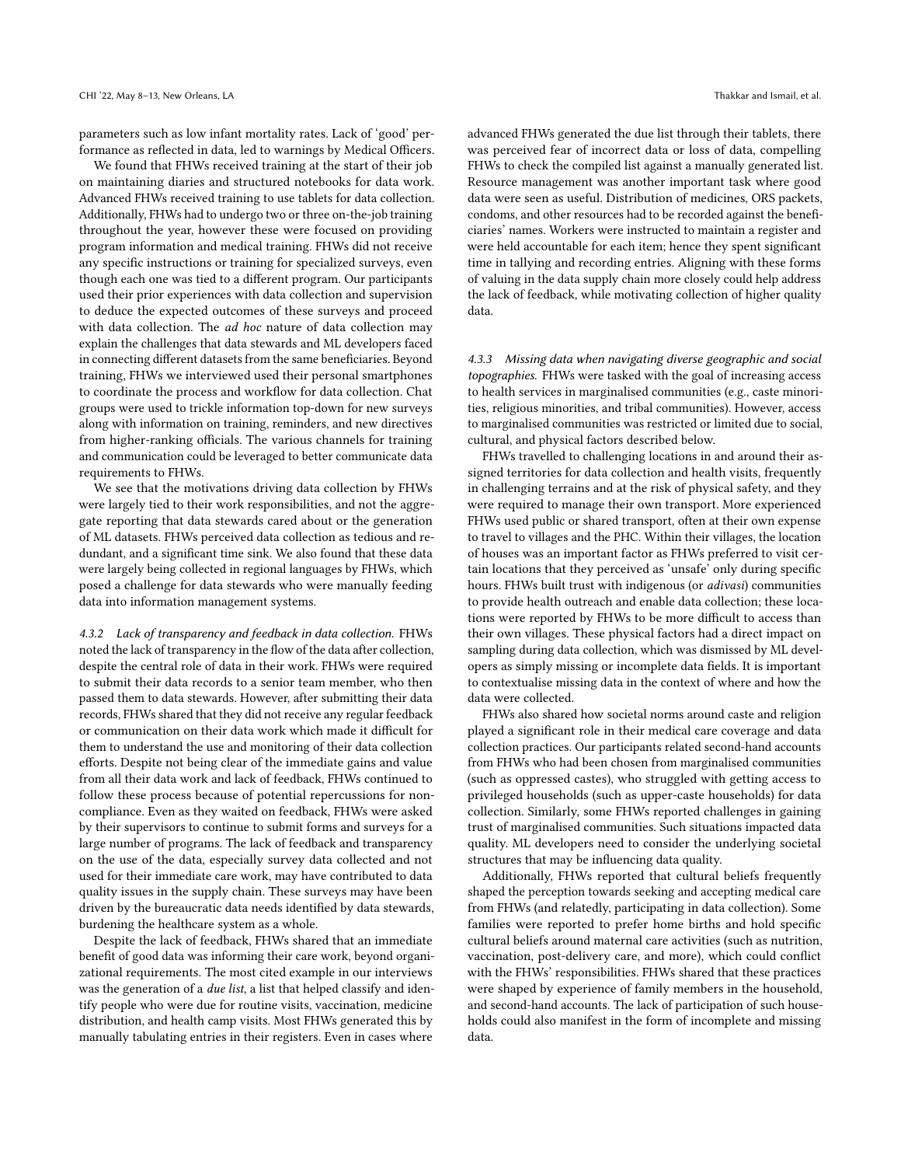parameters such as low infant mortality rates. Lack of 'good' performance as reflected in data, led to warnings by Medical Officers.

We found that FHWs received training at the start of their job on maintaining diaries and structured notebooks for data work. Advanced FHWs received training to use tablets for data collection. Additionally, FHWs had to undergo two or three on-the-job training throughout the year, however these were focused on providing program information and medical training. FHWs did not receive any specific instructions or training for specialized surveys, even though each one was tied to a different program. Our participants used their prior experiences with data collection and supervision to deduce the expected outcomes of these surveys and proceed with data collection. The ad hoc nature of data collection may explain the challenges that data stewards and ML developers faced in connecting different datasets from the same beneficiaries. Beyond training, FHWs we interviewed used their personal smartphones to coordinate the process and workflow for data collection. Chat groups were used to trickle information top-down for new surveys along with information on training, reminders, and new directives from higher-ranking officials. The various channels for training and communication could be leveraged to better communicate data requirements to FHWs.

We see that the motivations driving data collection by FHWs were largely tied to their work responsibilities, and not the aggregate reporting that data stewards cared about or the generation of ML datasets. FHWs perceived data collection as tedious and redundant, and a significant time sink. We also found that these data were largely being collected in regional languages by FHWs, which posed a challenge for data stewards who were manually feeding data into information management systems.

4.3.2 Lack of transparency and feedback in data collection. FHWs noted the lack of transparency in the flow of the data after collection, despite the central role of data in their work. FHWs were required to submit their data records to a senior team member, who then passed them to data stewards. However, after submitting their data records, FHWs shared that they did not receive any regular feedback or communication on their data work which made it difficult for them to understand the use and monitoring of their data collection efforts. Despite not being clear of the immediate gains and value from all their data work and lack of feedback, FHWs continued to follow these process because of potential repercussions for noncompliance. Even as they waited on feedback, FHWs were asked by their supervisors to continue to submit forms and surveys for a large number of programs. The lack of feedback and transparency on the use of the data, especially survey data collected and not used for their immediate care work, may have contributed to data quality issues in the supply chain. These surveys may have been driven by the bureaucratic data needs identified by data stewards, burdening the healthcare system as a whole.

Despite the lack of feedback, FHWs shared that an immediate benefit of good data was informing their care work, beyond organizational requirements. The most cited example in our interviews was the generation of a due list, a list that helped classify and identify people who were due for routine visits, vaccination, medicine distribution, and health camp visits. Most FHWs generated this by manually tabulating entries in their registers. Even in cases where

advanced FHWs generated the due list through their tablets, there was perceived fear of incorrect data or loss of data, compelling FHWs to check the compiled list against a manually generated list. Resource management was another important task where good data were seen as useful. Distribution of medicines, ORS packets, condoms, and other resources had to be recorded against the beneficiaries' names. Workers were instructed to maintain a register and were held accountable for each item; hence they spent significant time in tallying and recording entries. Aligning with these forms of valuing in the data supply chain more closely could help address the lack of feedback, while motivating collection of higher quality data.

4.3.3 Missing data when navigating diverse geographic and social topographies. FHWs were tasked with the goal of increasing access to health services in marginalised communities (e.g., caste minorities, religious minorities, and tribal communities). However, access to marginalised communities was restricted or limited due to social, cultural, and physical factors described below.

FHWs travelled to challenging locations in and around their assigned territories for data collection and health visits, frequently in challenging terrains and at the risk of physical safety, and they were required to manage their own transport. More experienced FHWs used public or shared transport, often at their own expense to travel to villages and the PHC. Within their villages, the location of houses was an important factor as FHWs preferred to visit certain locations that they perceived as 'unsafe' only during specific hours. FHWs built trust with indigenous (or adivasi) communities to provide health outreach and enable data collection; these locations were reported by FHWs to be more difficult to access than their own villages. These physical factors had a direct impact on sampling during data collection, which was dismissed by ML developers as simply missing or incomplete data fields. It is important to contextualise missing data in the context of where and how the data were collected.

FHWs also shared how societal norms around caste and religion played a significant role in their medical care coverage and data collection practices. Our participants related second-hand accounts from FHWs who had been chosen from marginalised communities (such as oppressed castes), who struggled with getting access to privileged households (such as upper-caste households) for data collection. Similarly, some FHWs reported challenges in gaining trust of marginalised communities. Such situations impacted data quality. ML developers need to consider the underlying societal structures that may be influencing data quality.

Additionally, FHWs reported that cultural beliefs frequently shaped the perception towards seeking and accepting medical care from FHWs (and relatedly, participating in data collection). Some families were reported to prefer home births and hold specific cultural beliefs around maternal care activities (such as nutrition, vaccination, post-delivery care, and more), which could conflict with the FHWs' responsibilities. FHWs shared that these practices were shaped by experience of family members in the household, and second-hand accounts. The lack of participation of such households could also manifest in the form of incomplete and missing data.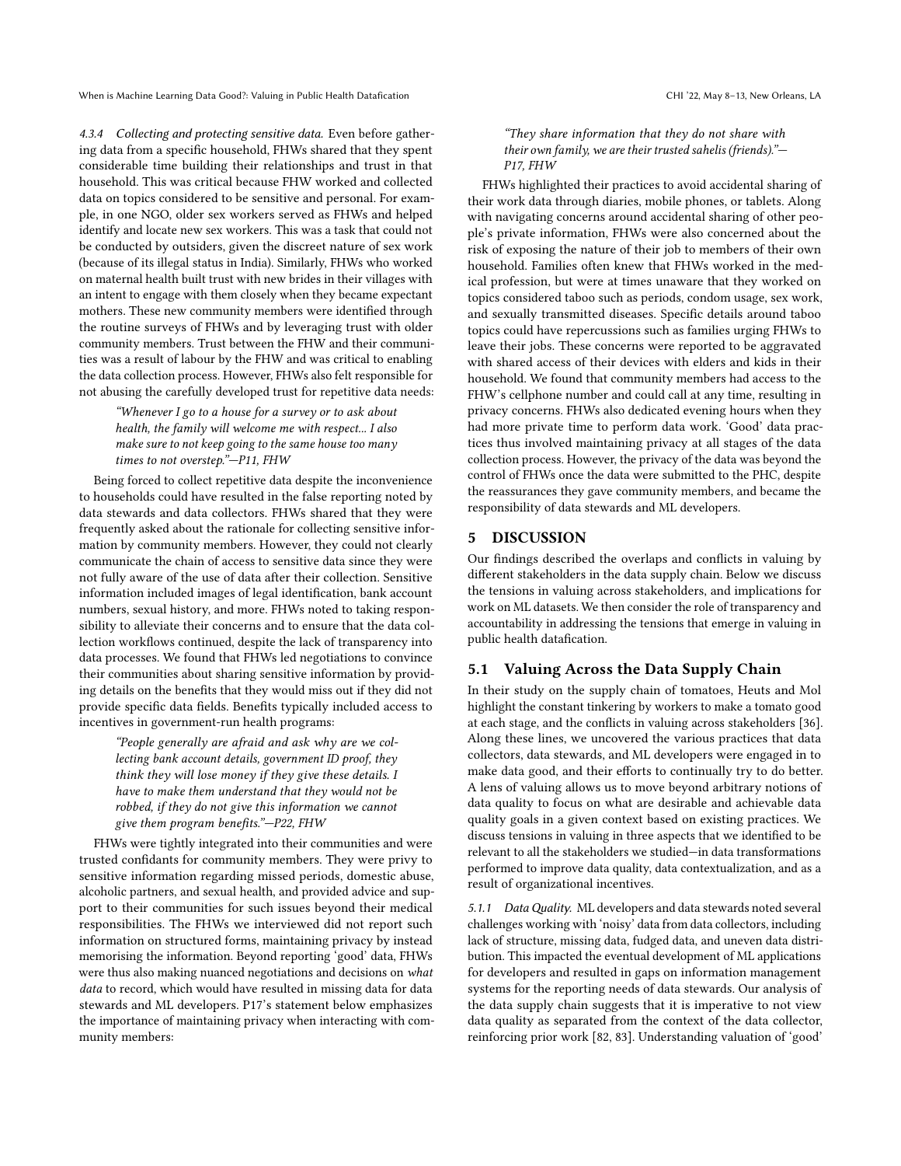4.3.4 Collecting and protecting sensitive data. Even before gathering data from a specific household, FHWs shared that they spent considerable time building their relationships and trust in that household. This was critical because FHW worked and collected data on topics considered to be sensitive and personal. For example, in one NGO, older sex workers served as FHWs and helped identify and locate new sex workers. This was a task that could not be conducted by outsiders, given the discreet nature of sex work (because of its illegal status in India). Similarly, FHWs who worked on maternal health built trust with new brides in their villages with an intent to engage with them closely when they became expectant mothers. These new community members were identified through the routine surveys of FHWs and by leveraging trust with older community members. Trust between the FHW and their communities was a result of labour by the FHW and was critical to enabling the data collection process. However, FHWs also felt responsible for not abusing the carefully developed trust for repetitive data needs:

"Whenever I go to a house for a survey or to ask about health, the family will welcome me with respect... I also make sure to not keep going to the same house too many times to not overstep."—P11, FHW

Being forced to collect repetitive data despite the inconvenience to households could have resulted in the false reporting noted by data stewards and data collectors. FHWs shared that they were frequently asked about the rationale for collecting sensitive information by community members. However, they could not clearly communicate the chain of access to sensitive data since they were not fully aware of the use of data after their collection. Sensitive information included images of legal identification, bank account numbers, sexual history, and more. FHWs noted to taking responsibility to alleviate their concerns and to ensure that the data collection workflows continued, despite the lack of transparency into data processes. We found that FHWs led negotiations to convince their communities about sharing sensitive information by providing details on the benefits that they would miss out if they did not provide specific data fields. Benefits typically included access to incentives in government-run health programs:

"People generally are afraid and ask why are we collecting bank account details, government ID proof, they think they will lose money if they give these details. I have to make them understand that they would not be robbed, if they do not give this information we cannot give them program benefits."—P22, FHW

FHWs were tightly integrated into their communities and were trusted confidants for community members. They were privy to sensitive information regarding missed periods, domestic abuse, alcoholic partners, and sexual health, and provided advice and support to their communities for such issues beyond their medical responsibilities. The FHWs we interviewed did not report such information on structured forms, maintaining privacy by instead memorising the information. Beyond reporting 'good' data, FHWs were thus also making nuanced negotiations and decisions on what data to record, which would have resulted in missing data for data stewards and ML developers. P17's statement below emphasizes the importance of maintaining privacy when interacting with community members:

#### "They share information that they do not share with their own family, we are their trusted sahelis (friends)."— P17, FHW

FHWs highlighted their practices to avoid accidental sharing of their work data through diaries, mobile phones, or tablets. Along with navigating concerns around accidental sharing of other people's private information, FHWs were also concerned about the risk of exposing the nature of their job to members of their own household. Families often knew that FHWs worked in the medical profession, but were at times unaware that they worked on topics considered taboo such as periods, condom usage, sex work, and sexually transmitted diseases. Specific details around taboo topics could have repercussions such as families urging FHWs to leave their jobs. These concerns were reported to be aggravated with shared access of their devices with elders and kids in their household. We found that community members had access to the FHW's cellphone number and could call at any time, resulting in privacy concerns. FHWs also dedicated evening hours when they had more private time to perform data work. 'Good' data practices thus involved maintaining privacy at all stages of the data collection process. However, the privacy of the data was beyond the control of FHWs once the data were submitted to the PHC, despite the reassurances they gave community members, and became the responsibility of data stewards and ML developers.

## 5 DISCUSSION

Our findings described the overlaps and conflicts in valuing by different stakeholders in the data supply chain. Below we discuss the tensions in valuing across stakeholders, and implications for work on ML datasets. We then consider the role of transparency and accountability in addressing the tensions that emerge in valuing in public health datafication.

## 5.1 Valuing Across the Data Supply Chain

In their study on the supply chain of tomatoes, Heuts and Mol highlight the constant tinkering by workers to make a tomato good at each stage, and the conflicts in valuing across stakeholders [\[36\]](#page-14-8). Along these lines, we uncovered the various practices that data collectors, data stewards, and ML developers were engaged in to make data good, and their efforts to continually try to do better. A lens of valuing allows us to move beyond arbitrary notions of data quality to focus on what are desirable and achievable data quality goals in a given context based on existing practices. We discuss tensions in valuing in three aspects that we identified to be relevant to all the stakeholders we studied—in data transformations performed to improve data quality, data contextualization, and as a result of organizational incentives.

5.1.1 DataQuality. ML developers and data stewards noted several challenges working with 'noisy' data from data collectors, including lack of structure, missing data, fudged data, and uneven data distribution. This impacted the eventual development of ML applications for developers and resulted in gaps on information management systems for the reporting needs of data stewards. Our analysis of the data supply chain suggests that it is imperative to not view data quality as separated from the context of the data collector, reinforcing prior work [\[82,](#page-15-2) [83\]](#page-15-38). Understanding valuation of 'good'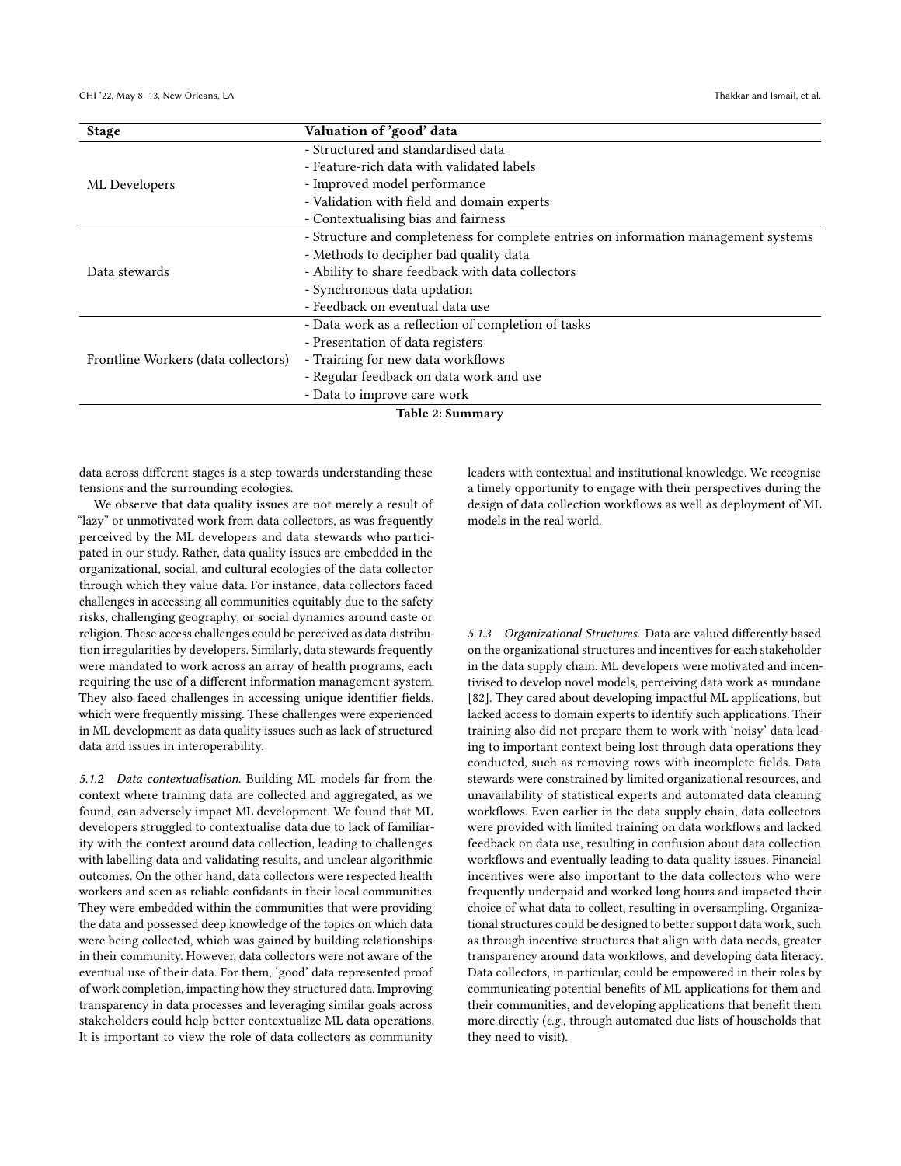CHI '22, May 8–13, New Orleans, LA Thakkar and Ismail, et al.  $\blacksquare$ 

| <b>Stage</b>                        | Valuation of 'good' data                                                            |  |  |
|-------------------------------------|-------------------------------------------------------------------------------------|--|--|
|                                     | - Structured and standardised data                                                  |  |  |
|                                     | - Feature-rich data with validated labels                                           |  |  |
| ML Developers                       | - Improved model performance                                                        |  |  |
|                                     | - Validation with field and domain experts                                          |  |  |
|                                     | - Contextualising bias and fairness                                                 |  |  |
|                                     | - Structure and completeness for complete entries on information management systems |  |  |
|                                     | - Methods to decipher bad quality data                                              |  |  |
| Data stewards                       | - Ability to share feedback with data collectors                                    |  |  |
|                                     | - Synchronous data updation                                                         |  |  |
|                                     | - Feedback on eventual data use                                                     |  |  |
|                                     | - Data work as a reflection of completion of tasks                                  |  |  |
|                                     | - Presentation of data registers                                                    |  |  |
| Frontline Workers (data collectors) | - Training for new data workflows                                                   |  |  |
|                                     | - Regular feedback on data work and use                                             |  |  |
|                                     | - Data to improve care work                                                         |  |  |
|                                     |                                                                                     |  |  |

Table 2: Summary

data across different stages is a step towards understanding these tensions and the surrounding ecologies.

We observe that data quality issues are not merely a result of "lazy" or unmotivated work from data collectors, as was frequently perceived by the ML developers and data stewards who participated in our study. Rather, data quality issues are embedded in the organizational, social, and cultural ecologies of the data collector through which they value data. For instance, data collectors faced challenges in accessing all communities equitably due to the safety risks, challenging geography, or social dynamics around caste or religion. These access challenges could be perceived as data distribution irregularities by developers. Similarly, data stewards frequently were mandated to work across an array of health programs, each requiring the use of a different information management system. They also faced challenges in accessing unique identifier fields, which were frequently missing. These challenges were experienced in ML development as data quality issues such as lack of structured data and issues in interoperability.

5.1.2 Data contextualisation. Building ML models far from the context where training data are collected and aggregated, as we found, can adversely impact ML development. We found that ML developers struggled to contextualise data due to lack of familiarity with the context around data collection, leading to challenges with labelling data and validating results, and unclear algorithmic outcomes. On the other hand, data collectors were respected health workers and seen as reliable confidants in their local communities. They were embedded within the communities that were providing the data and possessed deep knowledge of the topics on which data were being collected, which was gained by building relationships in their community. However, data collectors were not aware of the eventual use of their data. For them, 'good' data represented proof of work completion, impacting how they structured data. Improving transparency in data processes and leveraging similar goals across stakeholders could help better contextualize ML data operations. It is important to view the role of data collectors as community

leaders with contextual and institutional knowledge. We recognise a timely opportunity to engage with their perspectives during the design of data collection workflows as well as deployment of ML models in the real world.

5.1.3 Organizational Structures. Data are valued differently based on the organizational structures and incentives for each stakeholder in the data supply chain. ML developers were motivated and incentivised to develop novel models, perceiving data work as mundane [\[82\]](#page-15-2). They cared about developing impactful ML applications, but lacked access to domain experts to identify such applications. Their training also did not prepare them to work with 'noisy' data leading to important context being lost through data operations they conducted, such as removing rows with incomplete fields. Data stewards were constrained by limited organizational resources, and unavailability of statistical experts and automated data cleaning workflows. Even earlier in the data supply chain, data collectors were provided with limited training on data workflows and lacked feedback on data use, resulting in confusion about data collection workflows and eventually leading to data quality issues. Financial incentives were also important to the data collectors who were frequently underpaid and worked long hours and impacted their choice of what data to collect, resulting in oversampling. Organizational structures could be designed to better support data work, such as through incentive structures that align with data needs, greater transparency around data workflows, and developing data literacy. Data collectors, in particular, could be empowered in their roles by communicating potential benefits of ML applications for them and their communities, and developing applications that benefit them more directly (e.g., through automated due lists of households that they need to visit).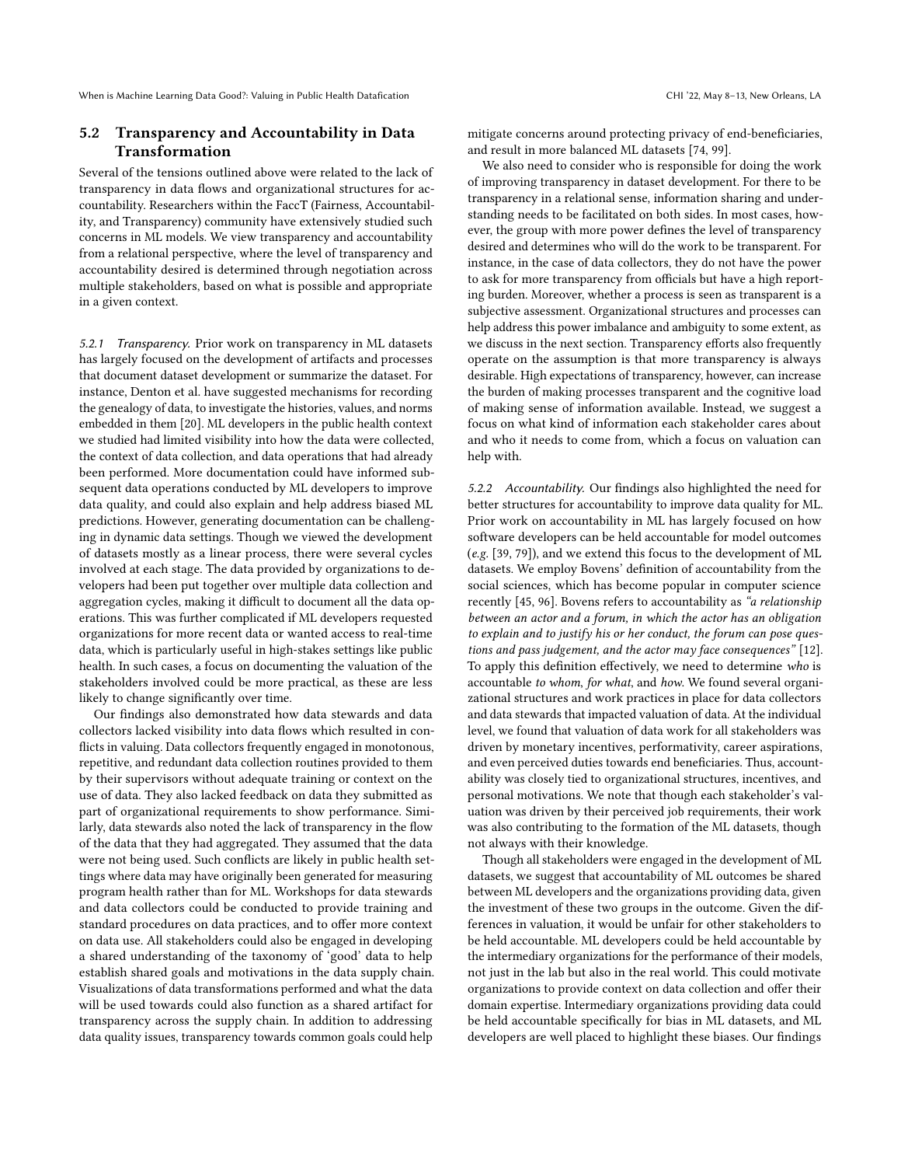## 5.2 Transparency and Accountability in Data Transformation

Several of the tensions outlined above were related to the lack of transparency in data flows and organizational structures for accountability. Researchers within the FaccT (Fairness, Accountability, and Transparency) community have extensively studied such concerns in ML models. We view transparency and accountability from a relational perspective, where the level of transparency and accountability desired is determined through negotiation across multiple stakeholders, based on what is possible and appropriate in a given context.

5.2.1 Transparency. Prior work on transparency in ML datasets has largely focused on the development of artifacts and processes that document dataset development or summarize the dataset. For instance, Denton et al. have suggested mechanisms for recording the genealogy of data, to investigate the histories, values, and norms embedded in them [\[20\]](#page-14-14). ML developers in the public health context we studied had limited visibility into how the data were collected, the context of data collection, and data operations that had already been performed. More documentation could have informed subsequent data operations conducted by ML developers to improve data quality, and could also explain and help address biased ML predictions. However, generating documentation can be challenging in dynamic data settings. Though we viewed the development of datasets mostly as a linear process, there were several cycles involved at each stage. The data provided by organizations to developers had been put together over multiple data collection and aggregation cycles, making it difficult to document all the data operations. This was further complicated if ML developers requested organizations for more recent data or wanted access to real-time data, which is particularly useful in high-stakes settings like public health. In such cases, a focus on documenting the valuation of the stakeholders involved could be more practical, as these are less likely to change significantly over time.

Our findings also demonstrated how data stewards and data collectors lacked visibility into data flows which resulted in conflicts in valuing. Data collectors frequently engaged in monotonous, repetitive, and redundant data collection routines provided to them by their supervisors without adequate training or context on the use of data. They also lacked feedback on data they submitted as part of organizational requirements to show performance. Similarly, data stewards also noted the lack of transparency in the flow of the data that they had aggregated. They assumed that the data were not being used. Such conflicts are likely in public health settings where data may have originally been generated for measuring program health rather than for ML. Workshops for data stewards and data collectors could be conducted to provide training and standard procedures on data practices, and to offer more context on data use. All stakeholders could also be engaged in developing a shared understanding of the taxonomy of 'good' data to help establish shared goals and motivations in the data supply chain. Visualizations of data transformations performed and what the data will be used towards could also function as a shared artifact for transparency across the supply chain. In addition to addressing data quality issues, transparency towards common goals could help

mitigate concerns around protecting privacy of end-beneficiaries, and result in more balanced ML datasets [\[74,](#page-15-1) [99\]](#page-15-39).

We also need to consider who is responsible for doing the work of improving transparency in dataset development. For there to be transparency in a relational sense, information sharing and understanding needs to be facilitated on both sides. In most cases, however, the group with more power defines the level of transparency desired and determines who will do the work to be transparent. For instance, in the case of data collectors, they do not have the power to ask for more transparency from officials but have a high reporting burden. Moreover, whether a process is seen as transparent is a subjective assessment. Organizational structures and processes can help address this power imbalance and ambiguity to some extent, as we discuss in the next section. Transparency efforts also frequently operate on the assumption is that more transparency is always desirable. High expectations of transparency, however, can increase the burden of making processes transparent and the cognitive load of making sense of information available. Instead, we suggest a focus on what kind of information each stakeholder cares about and who it needs to come from, which a focus on valuation can help with.

5.2.2 Accountability. Our findings also highlighted the need for better structures for accountability to improve data quality for ML. Prior work on accountability in ML has largely focused on how software developers can be held accountable for model outcomes (e.g. [\[39,](#page-14-20) [79\]](#page-15-40)), and we extend this focus to the development of ML datasets. We employ Bovens' definition of accountability from the social sciences, which has become popular in computer science recently [\[45,](#page-14-48) [96\]](#page-15-41). Bovens refers to accountability as "a relationship between an actor and a forum, in which the actor has an obligation to explain and to justify his or her conduct, the forum can pose questions and pass judgement, and the actor may face consequences" [\[12\]](#page-13-12). To apply this definition effectively, we need to determine who is accountable to whom, for what, and how. We found several organizational structures and work practices in place for data collectors and data stewards that impacted valuation of data. At the individual level, we found that valuation of data work for all stakeholders was driven by monetary incentives, performativity, career aspirations, and even perceived duties towards end beneficiaries. Thus, accountability was closely tied to organizational structures, incentives, and personal motivations. We note that though each stakeholder's valuation was driven by their perceived job requirements, their work was also contributing to the formation of the ML datasets, though not always with their knowledge.

Though all stakeholders were engaged in the development of ML datasets, we suggest that accountability of ML outcomes be shared between ML developers and the organizations providing data, given the investment of these two groups in the outcome. Given the differences in valuation, it would be unfair for other stakeholders to be held accountable. ML developers could be held accountable by the intermediary organizations for the performance of their models, not just in the lab but also in the real world. This could motivate organizations to provide context on data collection and offer their domain expertise. Intermediary organizations providing data could be held accountable specifically for bias in ML datasets, and ML developers are well placed to highlight these biases. Our findings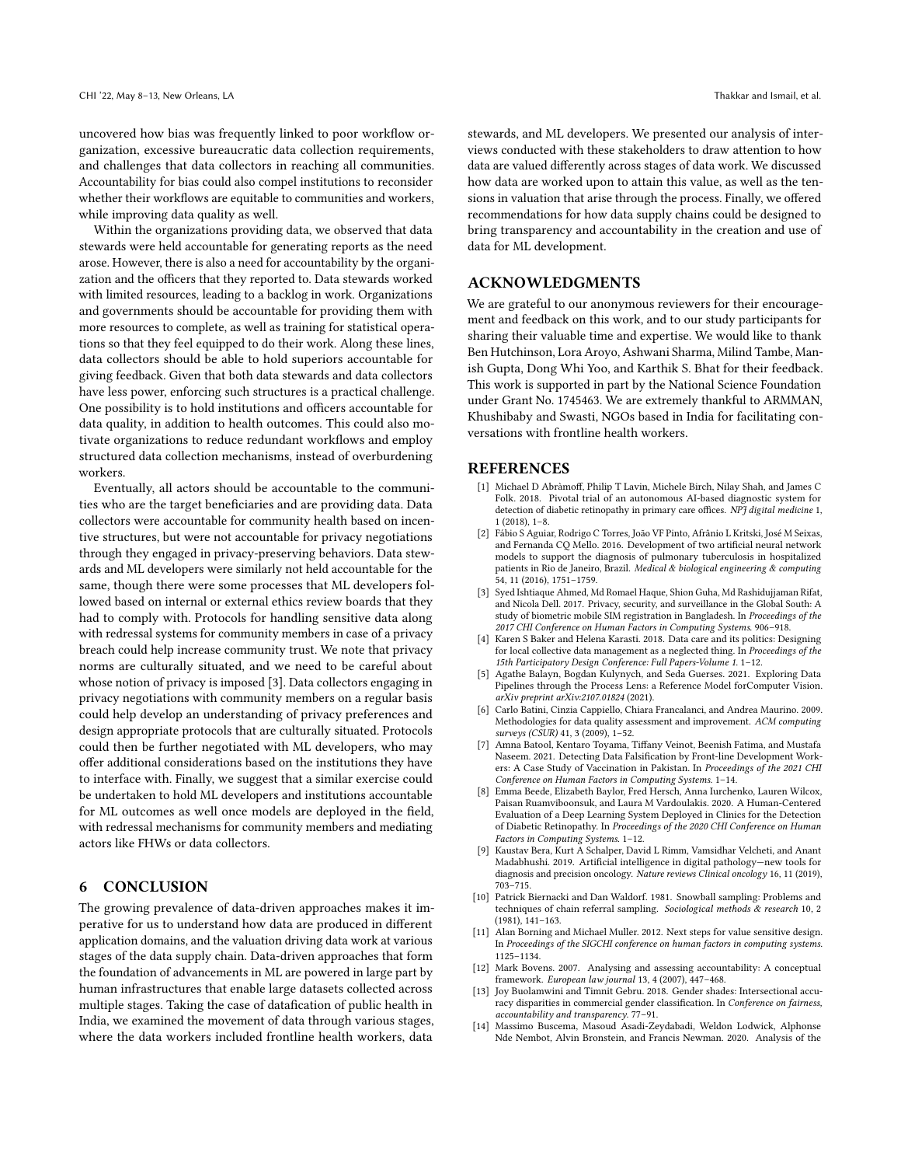uncovered how bias was frequently linked to poor workflow organization, excessive bureaucratic data collection requirements, and challenges that data collectors in reaching all communities. Accountability for bias could also compel institutions to reconsider whether their workflows are equitable to communities and workers, while improving data quality as well.

Within the organizations providing data, we observed that data stewards were held accountable for generating reports as the need arose. However, there is also a need for accountability by the organization and the officers that they reported to. Data stewards worked with limited resources, leading to a backlog in work. Organizations and governments should be accountable for providing them with more resources to complete, as well as training for statistical operations so that they feel equipped to do their work. Along these lines, data collectors should be able to hold superiors accountable for giving feedback. Given that both data stewards and data collectors have less power, enforcing such structures is a practical challenge. One possibility is to hold institutions and officers accountable for data quality, in addition to health outcomes. This could also motivate organizations to reduce redundant workflows and employ structured data collection mechanisms, instead of overburdening workers.

Eventually, all actors should be accountable to the communities who are the target beneficiaries and are providing data. Data collectors were accountable for community health based on incentive structures, but were not accountable for privacy negotiations through they engaged in privacy-preserving behaviors. Data stewards and ML developers were similarly not held accountable for the same, though there were some processes that ML developers followed based on internal or external ethics review boards that they had to comply with. Protocols for handling sensitive data along with redressal systems for community members in case of a privacy breach could help increase community trust. We note that privacy norms are culturally situated, and we need to be careful about whose notion of privacy is imposed [\[3\]](#page-13-13). Data collectors engaging in privacy negotiations with community members on a regular basis could help develop an understanding of privacy preferences and design appropriate protocols that are culturally situated. Protocols could then be further negotiated with ML developers, who may offer additional considerations based on the institutions they have to interface with. Finally, we suggest that a similar exercise could be undertaken to hold ML developers and institutions accountable for ML outcomes as well once models are deployed in the field, with redressal mechanisms for community members and mediating actors like FHWs or data collectors.

### 6 CONCLUSION

The growing prevalence of data-driven approaches makes it imperative for us to understand how data are produced in different application domains, and the valuation driving data work at various stages of the data supply chain. Data-driven approaches that form the foundation of advancements in ML are powered in large part by human infrastructures that enable large datasets collected across multiple stages. Taking the case of datafication of public health in India, we examined the movement of data through various stages, where the data workers included frontline health workers, data

stewards, and ML developers. We presented our analysis of interviews conducted with these stakeholders to draw attention to how data are valued differently across stages of data work. We discussed how data are worked upon to attain this value, as well as the tensions in valuation that arise through the process. Finally, we offered recommendations for how data supply chains could be designed to bring transparency and accountability in the creation and use of data for ML development.

#### ACKNOWLEDGMENTS

We are grateful to our anonymous reviewers for their encouragement and feedback on this work, and to our study participants for sharing their valuable time and expertise. We would like to thank Ben Hutchinson, Lora Aroyo, Ashwani Sharma, Milind Tambe, Manish Gupta, Dong Whi Yoo, and Karthik S. Bhat for their feedback. This work is supported in part by the National Science Foundation under Grant No. 1745463. We are extremely thankful to ARMMAN, Khushibaby and Swasti, NGOs based in India for facilitating conversations with frontline health workers.

#### **REFERENCES**

- <span id="page-13-5"></span>[1] Michael D Abràmoff, Philip T Lavin, Michele Birch, Nilay Shah, and James C Folk. 2018. Pivotal trial of an autonomous AI-based diagnostic system for detection of diabetic retinopathy in primary care offices.  $N\!\bar{P\!J}$  digital medicine 1, 1 (2018), 1–8.
- <span id="page-13-4"></span>[2] Fábio S Aguiar, Rodrigo C Torres, João VF Pinto, Afrânio L Kritski, José M Seixas, and Fernanda CQ Mello. 2016. Development of two artificial neural network models to support the diagnosis of pulmonary tuberculosis in hospitalized patients in Rio de Janeiro, Brazil. Medical & biological engineering & computing 54, 11 (2016), 1751–1759.
- <span id="page-13-13"></span>[3] Syed Ishtiaque Ahmed, Md Romael Haque, Shion Guha, Md Rashidujjaman Rifat, and Nicola Dell. 2017. Privacy, security, and surveillance in the Global South: A study of biometric mobile SIM registration in Bangladesh. In Proceedings of the 2017 CHI Conference on Human Factors in Computing Systems. 906–918.
- <span id="page-13-8"></span>[4] Karen S Baker and Helena Karasti. 2018. Data care and its politics: Designing for local collective data management as a neglected thing. In Proceedings of the 15th Participatory Design Conference: Full Papers-Volume 1. 1–12.
- <span id="page-13-2"></span>[5] Agathe Balayn, Bogdan Kulynych, and Seda Guerses. 2021. Exploring Data Pipelines through the Process Lens: a Reference Model forComputer Vision. arXiv preprint arXiv:2107.01824 (2021).
- <span id="page-13-10"></span>[6] Carlo Batini, Cinzia Cappiello, Chiara Francalanci, and Andrea Maurino. 2009. Methodologies for data quality assessment and improvement. ACM computing surveys (CSUR) 41, 3 (2009), 1–52.
- <span id="page-13-0"></span>[7] Amna Batool, Kentaro Toyama, Tiffany Veinot, Beenish Fatima, and Mustafa Naseem. 2021. Detecting Data Falsification by Front-line Development Workers: A Case Study of Vaccination in Pakistan. In Proceedings of the 2021 CHI Conference on Human Factors in Computing Systems. 1–14.
- <span id="page-13-7"></span>[8] Emma Beede, Elizabeth Baylor, Fred Hersch, Anna Iurchenko, Lauren Wilcox, Paisan Ruamviboonsuk, and Laura M Vardoulakis. 2020. A Human-Centered Evaluation of a Deep Learning System Deployed in Clinics for the Detection of Diabetic Retinopathy. In Proceedings of the 2020 CHI Conference on Human Factors in Computing Systems. 1–12.
- <span id="page-13-6"></span>[9] Kaustav Bera, Kurt A Schalper, David L Rimm, Vamsidhar Velcheti, and Anant Madabhushi. 2019. Artificial intelligence in digital pathology—new tools for diagnosis and precision oncology. Nature reviews Clinical oncology 16, 11 (2019), 703–715.
- <span id="page-13-11"></span>[10] Patrick Biernacki and Dan Waldorf. 1981. Snowball sampling: Problems and techniques of chain referral sampling. Sociological methods & research 10, 2 (1981), 141–163.
- <span id="page-13-9"></span>[11] Alan Borning and Michael Muller. 2012. Next steps for value sensitive design. In Proceedings of the SIGCHI conference on human factors in computing systems. 1125–1134.
- <span id="page-13-12"></span>[12] Mark Bovens. 2007. Analysing and assessing accountability: A conceptual framework. European law journal 13, 4 (2007), 447–468.
- <span id="page-13-1"></span>[13] Joy Buolamwini and Timnit Gebru. 2018. Gender shades: Intersectional accuracy disparities in commercial gender classification. In Conference on fairness, accountability and transparency. 77–91.
- <span id="page-13-3"></span>[14] Massimo Buscema, Masoud Asadi-Zeydabadi, Weldon Lodwick, Alphonse Nde Nembot, Alvin Bronstein, and Francis Newman. 2020. Analysis of the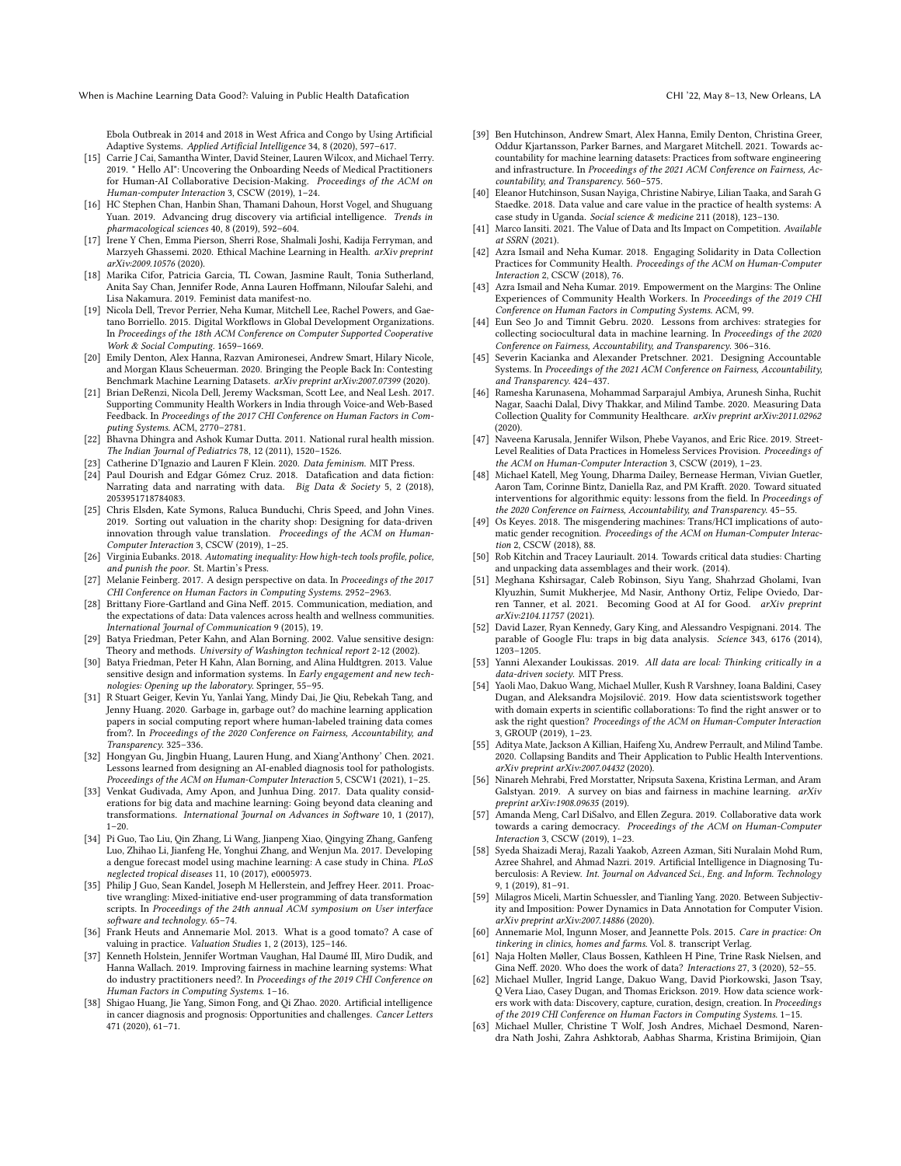Ebola Outbreak in 2014 and 2018 in West Africa and Congo by Using Artificial Adaptive Systems. Applied Artificial Intelligence 34, 8 (2020), 597–617.

- <span id="page-14-31"></span>[15] Carrie J Cai, Samantha Winter, David Steiner, Lauren Wilcox, and Michael Terry. 2019. " Hello AI": Uncovering the Onboarding Needs of Medical Practitioners for Human-AI Collaborative Decision-Making. Proceedings of the ACM on Human-computer Interaction 3, CSCW (2019), 1–24.
- <span id="page-14-28"></span>[16] HC Stephen Chan, Hanbin Shan, Thamani Dahoun, Horst Vogel, and Shuguang Yuan. 2019. Advancing drug discovery via artificial intelligence. Trends in pharmacological sciences 40, 8 (2019), 592–604.
- <span id="page-14-37"></span>[17] Irene Y Chen, Emma Pierson, Sherri Rose, Shalmali Joshi, Kadija Ferryman, and Marzyeh Ghassemi. 2020. Ethical Machine Learning in Health. arXiv preprint arXiv:2009.10576 (2020).
- <span id="page-14-34"></span>[18] Marika Cifor, Patricia Garcia, TL Cowan, Jasmine Rault, Tonia Sutherland, Anita Say Chan, Jennifer Rode, Anna Lauren Hoffmann, Niloufar Salehi, and Lisa Nakamura. 2019. Feminist data manifest-no.
- <span id="page-14-24"></span>[19] Nicola Dell, Trevor Perrier, Neha Kumar, Mitchell Lee, Rachel Powers, and Gaetano Borriello. 2015. Digital Workflows in Global Development Organizations. In Proceedings of the 18th ACM Conference on Computer Supported Cooperative Work & Social Computing. 1659–1669.
- <span id="page-14-14"></span>[20] Emily Denton, Alex Hanna, Razvan Amironesei, Andrew Smart, Hilary Nicole, and Morgan Klaus Scheuerman. 2020. Bringing the People Back In: Contesting Benchmark Machine Learning Datasets. arXiv preprint arXiv:2007.07399 (2020).
- <span id="page-14-5"></span>[21] Brian DeRenzi, Nicola Dell, Jeremy Wacksman, Scott Lee, and Neal Lesh. 2017. Supporting Community Health Workers in India through Voice-and Web-Based Feedback. In Proceedings of the 2017 CHI Conference on Human Factors in Computing Systems. ACM, 2770–2781.
- <span id="page-14-47"></span>[22] Bhavna Dhingra and Ashok Kumar Dutta. 2011. National rural health mission. The Indian Journal of Pediatrics 78, 12 (2011), 1520–1526.
- <span id="page-14-35"></span>[23] Catherine D'Ignazio and Lauren F Klein. 2020. Data feminism. MIT Press.
- <span id="page-14-23"></span>[24] Paul Dourish and Edgar Gómez Cruz. 2018. Datafication and data fiction: Narrating data and narrating with data. Big Data & Society 5, 2 (2018), 2053951718784083.
- <span id="page-14-42"></span>[25] Chris Elsden, Kate Symons, Raluca Bunduchi, Chris Speed, and John Vines. 2019. Sorting out valuation in the charity shop: Designing for data-driven innovation through value translation. Proceedings of the ACM on Human-Computer Interaction 3, CSCW (2019), 1–25.
- <span id="page-14-12"></span>[26] Virginia Eubanks, 2018. Automating inequality: How high-tech tools profile, police, and punish the poor. St. Martin's Press.
- <span id="page-14-43"></span>[27] Melanie Feinberg. 2017. A design perspective on data. In Proceedings of the 2017 CHI Conference on Human Factors in Computing Systems. 2952–2963.
- <span id="page-14-21"></span>[28] Brittany Fiore-Gartland and Gina Neff. 2015. Communication, mediation, and the expectations of data: Data valences across health and wellness communities. International Journal of Communication 9 (2015), 19.
- <span id="page-14-39"></span>[29] Batya Friedman, Peter Kahn, and Alan Borning. 2002. Value sensitive design: Theory and methods. University of Washington technical report 2-12 (2002).
- <span id="page-14-40"></span>[30] Batya Friedman, Peter H Kahn, Alan Borning, and Alina Huldtgren. 2013. Value sensitive design and information systems. In Early engagement and new technologies: Opening up the laboratory. Springer, 55–95.
- <span id="page-14-10"></span>[31] R Stuart Geiger, Kevin Yu, Yanlai Yang, Mindy Dai, Jie Qiu, Rebekah Tang, and Jenny Huang. 2020. Garbage in, garbage out? do machine learning application papers in social computing report where human-labeled training data comes from?. In Proceedings of the 2020 Conference on Fairness, Accountability, and Transparency. 325–336.
- <span id="page-14-32"></span>[32] Hongyan Gu, Jingbin Huang, Lauren Hung, and Xiang'Anthony' Chen. 2021. Lessons learned from designing an AI-enabled diagnosis tool for pathologists. Proceedings of the ACM on Human-Computer Interaction 5, CSCW1 (2021), 1–25.
- <span id="page-14-9"></span>[33] Venkat Gudivada, Amy Apon, and Junhua Ding. 2017. Data quality considerations for big data and machine learning: Going beyond data cleaning and transformations. International Journal on Advances in Software 10, 1 (2017),  $1 - 20.$
- <span id="page-14-25"></span>[34] Pi Guo, Tao Liu, Qin Zhang, Li Wang, Jianpeng Xiao, Qingying Zhang, Ganfeng Luo, Zhihao Li, Jianfeng He, Yonghui Zhang, and Wenjun Ma. 2017. Developing a dengue forecast model using machine learning: A case study in China. PLoS neglected tropical diseases 11, 10 (2017), e0005973.
- <span id="page-14-46"></span>[35] Philip J Guo, Sean Kandel, Joseph M Hellerstein, and Jeffrey Heer. 2011. Proactive wrangling: Mixed-initiative end-user programming of data transformation scripts. In Proceedings of the 24th annual ACM symposium on User interface software and technology. 65–74.
- <span id="page-14-8"></span>[36] Frank Heuts and Annemarie Mol. 2013. What is a good tomato? A case of valuing in practice. Valuation Studies 1, 2 (2013), 125–146.
- <span id="page-14-22"></span>[37] Kenneth Holstein, Jennifer Wortman Vaughan, Hal Daumé III, Miro Dudik, and Hanna Wallach. 2019. Improving fairness in machine learning systems: What do industry practitioners need?. In Proceedings of the 2019 CHI Conference on Human Factors in Computing Systems. 1–16.
- <span id="page-14-29"></span>Shigao Huang, Jie Yang, Simon Fong, and Qi Zhao. 2020. Artificial intelligence in cancer diagnosis and prognosis: Opportunities and challenges. Cancer Letters 471 (2020), 61–71.
- <span id="page-14-20"></span>[39] Ben Hutchinson, Andrew Smart, Alex Hanna, Emily Denton, Christina Greer, Oddur Kjartansson, Parker Barnes, and Margaret Mitchell. 2021. Towards accountability for machine learning datasets: Practices from software engineering and infrastructure. In Proceedings of the 2021 ACM Conference on Fairness, Accountability, and Transparency. 560–575.
- <span id="page-14-41"></span>[40] Eleanor Hutchinson, Susan Nayiga, Christine Nabirye, Lilian Taaka, and Sarah G Staedke. 2018. Data value and care value in the practice of health systems: A case study in Uganda. Social science & medicine 211 (2018), 123-130.
- <span id="page-14-44"></span>[41] Marco Iansiti. 2021. The Value of Data and Its Impact on Competition. Available at SSRN (2021).
- <span id="page-14-7"></span>[42] Azra Ismail and Neha Kumar. 2018. Engaging Solidarity in Data Collection Practices for Community Health. Proceedings of the ACM on Human-Computer Interaction 2, CSCW (2018), 76.
- <span id="page-14-6"></span>[43] Azra Ismail and Neha Kumar. 2019. Empowerment on the Margins: The Online Experiences of Community Health Workers. In Proceedings of the 2019 CHI Conference on Human Factors in Computing Systems. ACM, 99.
- <span id="page-14-15"></span>[44] Eun Seo Jo and Timnit Gebru. 2020. Lessons from archives: strategies for collecting sociocultural data in machine learning. In Proceedings of the 2020 Conference on Fairness, Accountability, and Transparency. 306–316.
- <span id="page-14-48"></span>[45] Severin Kacianka and Alexander Pretschner. 2021. Designing Accountable Systems. In Proceedings of the 2021 ACM Conference on Fairness, Accountability, and Transparency. 424–437.
- <span id="page-14-11"></span>[46] Ramesha Karunasena, Mohammad Sarparajul Ambiya, Arunesh Sinha, Ruchit Nagar, Saachi Dalal, Divy Thakkar, and Milind Tambe. 2020. Measuring Data Collection Quality for Community Healthcare. arXiv preprint arXiv:2011.02962 (2020).
- <span id="page-14-2"></span>[47] Naveena Karusala, Jennifer Wilson, Phebe Vayanos, and Eric Rice. 2019. Street-Level Realities of Data Practices in Homeless Services Provision. Proceedings of the ACM on Human-Computer Interaction 3, CSCW (2019), 1–23.
- <span id="page-14-16"></span>[48] Michael Katell, Meg Young, Dharma Dailey, Bernease Herman, Vivian Guetler, Aaron Tam, Corinne Bintz, Daniella Raz, and PM Krafft. 2020. Toward situated interventions for algorithmic equity: lessons from the field. In *Proceedings of* the 2020 Conference on Fairness, Accountability, and Transparency. 45–55.
- <span id="page-14-13"></span>[49] Os Keyes. 2018. The misgendering machines: Trans/HCI implications of automatic gender recognition. Proceedings of the ACM on Human-Computer Interaction 2, CSCW (2018), 88.
- <span id="page-14-17"></span>[50] Rob Kitchin and Tracey Lauriault. 2014. Towards critical data studies: Charting and unpacking data assemblages and their work. (2014).
- <span id="page-14-45"></span>[51] Meghana Kshirsagar, Caleb Robinson, Siyu Yang, Shahrzad Gholami, Ivan Klyuzhin, Sumit Mukherjee, Md Nasir, Anthony Ortiz, Felipe Oviedo, Darren Tanner, et al. 2021. Becoming Good at AI for Good. arXiv preprint arXiv:2104.11757 (2021).
- <span id="page-14-30"></span>[52] David Lazer, Ryan Kennedy, Gary King, and Alessandro Vespignani. 2014. The parable of Google Flu: traps in big data analysis. Science 343, 6176 (2014), 1203–1205.
- <span id="page-14-36"></span>[53] Yanni Alexander Loukissas. 2019. All data are local: Thinking critically in a data-driven society. MIT Press.
- <span id="page-14-3"></span>[54] Yaoli Mao, Dakuo Wang, Michael Muller, Kush R Varshney, Ioana Baldini, Casey Dugan, and Aleksandra Mojsilović. 2019. How data scientistswork together with domain experts in scientific collaborations: To find the right answer or to ask the right question? Proceedings of the ACM on Human-Computer Interaction 3, GROUP (2019), 1–23.
- <span id="page-14-26"></span>[55] Aditya Mate, Jackson A Killian, Haifeng Xu, Andrew Perrault, and Milind Tambe. 2020. Collapsing Bandits and Their Application to Public Health Interventions. arXiv preprint arXiv:2007.04432 (2020).
- <span id="page-14-18"></span>[56] Ninareh Mehrabi, Fred Morstatter, Nripsuta Saxena, Kristina Lerman, and Aram Galstyan. 2019. A survey on bias and fairness in machine learning. arXiv preprint arXiv:1908.09635 (2019).
- <span id="page-14-38"></span>[57] Amanda Meng, Carl DiSalvo, and Ellen Zegura. 2019. Collaborative data work towards a caring democracy. Proceedings of the ACM on Human-Computer Interaction 3, CSCW (2019), 1–23.
- <span id="page-14-27"></span>[58] Syeda Shaizadi Meraj, Razali Yaakob, Azreen Azman, Siti Nuralain Mohd Rum, Azree Shahrel, and Ahmad Nazri. 2019. Artificial Intelligence in Diagnosing Tuberculosis: A Review. Int. Journal on Advanced Sci., Eng. and Inform. Technology 9, 1 (2019), 81–91.
- <span id="page-14-19"></span>[59] Milagros Miceli, Martin Schuessler, and Tianling Yang. 2020. Between Subjectivity and Imposition: Power Dynamics in Data Annotation for Computer Vision. arXiv preprint arXiv:2007.14886 (2020).
- <span id="page-14-33"></span>[60] Annemarie Mol, Ingunn Moser, and Jeannette Pols. 2015. Care in practice: On tinkering in clinics, homes and farms. Vol. 8. transcript Verlag.
- <span id="page-14-0"></span>[61] Naja Holten Møller, Claus Bossen, Kathleen H Pine, Trine Rask Nielsen, and Gina Neff. 2020. Who does the work of data? Interactions 27, 3 (2020), 52–55.
- <span id="page-14-1"></span>[62] Michael Muller, Ingrid Lange, Dakuo Wang, David Piorkowski, Jason Tsay, Q Vera Liao, Casey Dugan, and Thomas Erickson. 2019. How data science workers work with data: Discovery, capture, curation, design, creation. In Proceedings of the 2019 CHI Conference on Human Factors in Computing Systems. 1–15.
- <span id="page-14-4"></span>[63] Michael Muller, Christine T Wolf, Josh Andres, Michael Desmond, Narendra Nath Joshi, Zahra Ashktorab, Aabhas Sharma, Kristina Brimijoin, Qian